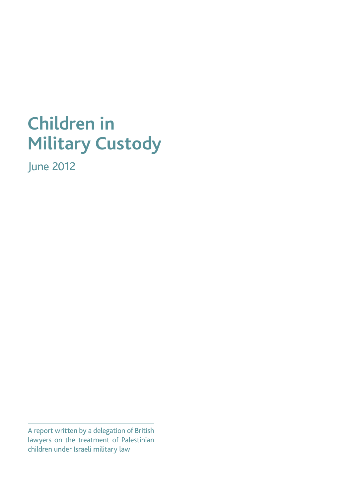# **Children in Military Custody**

June 2012

A report written by a delegation of British lawyers on the treatment of Palestinian children under Israeli military law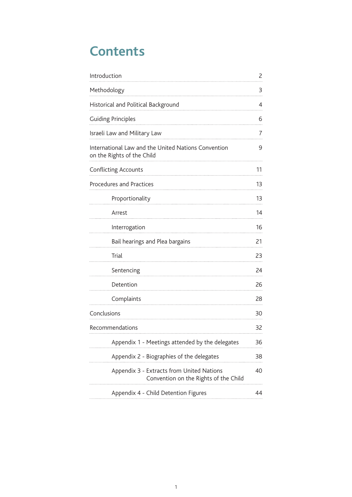### **Contents**

| Introduction                                                                       | 2  |
|------------------------------------------------------------------------------------|----|
| Methodology                                                                        | 3  |
| Historical and Political Background                                                | 4  |
| <b>Guiding Principles</b>                                                          | 6  |
| Israeli Law and Military Law                                                       | 7  |
| International Law and the United Nations Convention<br>on the Rights of the Child  | 9  |
| <b>Conflicting Accounts</b>                                                        | 11 |
| <b>Procedures and Practices</b>                                                    | 13 |
| Proportionality                                                                    | 13 |
| Arrest                                                                             | 14 |
| Interrogation                                                                      | 16 |
| Bail hearings and Plea bargains                                                    | 21 |
| Trial                                                                              | 23 |
| Sentencing                                                                         | 24 |
| Detention                                                                          | 26 |
| Complaints                                                                         | 28 |
| Conclusions                                                                        | 30 |
| Recommendations                                                                    | 32 |
| Appendix 1 - Meetings attended by the delegates                                    | 36 |
| Appendix 2 - Biographies of the delegates                                          | 38 |
| Appendix 3 - Extracts from United Nations<br>Convention on the Rights of the Child | 40 |
| Appendix 4 - Child Detention Figures                                               | 44 |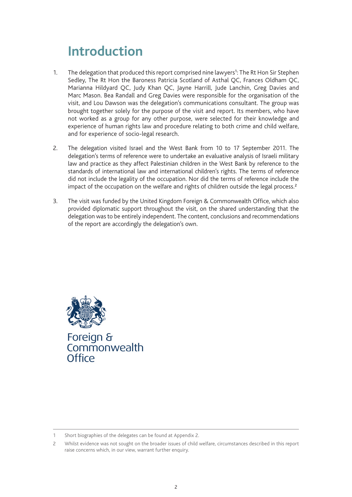### **Introduction**

- 1. The delegation that produced this report comprised nine lawyers<sup>1</sup>: The Rt Hon Sir Stephen Sedley, The Rt Hon the Baroness Patricia Scotland of Asthal QC, Frances Oldham QC, Marianna Hildyard QC, Judy Khan QC, Jayne Harrill, Jude Lanchin, Greg Davies and Marc Mason. Bea Randall and Greg Davies were responsible for the organisation of the visit, and Lou Dawson was the delegation's communications consultant. The group was brought together solely for the purpose of the visit and report. Its members, who have not worked as a group for any other purpose, were selected for their knowledge and experience of human rights law and procedure relating to both crime and child welfare, and for experience of socio-legal research.
- 2. The delegation visited Israel and the West Bank from 10 to 17 September 2011. The delegation's terms of reference were to undertake an evaluative analysis of Israeli military law and practice as they affect Palestinian children in the West Bank by reference to the standards of international law and international children's rights. The terms of reference did not include the legality of the occupation. Nor did the terms of reference include the impact of the occupation on the welfare and rights of children outside the legal process.<sup>2</sup>
- 3. The visit was funded by the United Kingdom Foreign & Commonwealth Office, which also provided diplomatic support throughout the visit, on the shared understanding that the delegation was to be entirely independent. The content, conclusions and recommendations of the report are accordingly the delegation's own.



<sup>1</sup> Short biographies of the delegates can be found at Appendix 2.

<sup>2</sup> Whilst evidence was not sought on the broader issues of child welfare, circumstances described in this report raise concerns which, in our view, warrant further enquiry.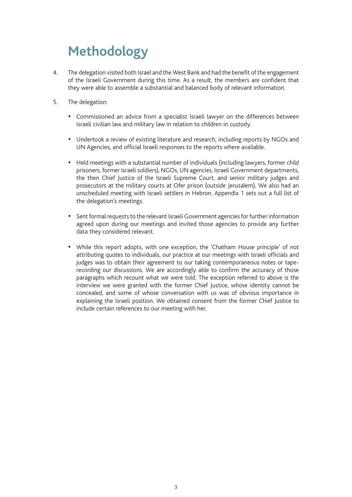# **Methodology**

- 4. The delegation visited both Israel and the West Bank and had the benefit of the engagement of the Israeli Government during this time. As a result, the members are confident that they were able to assemble a substantial and balanced body of relevant information.
- 5. The delegation:
	- Commissioned an advice from a specialist Israeli lawyer on the differences between Israeli civilian law and military law in relation to children in custody.
	- Undertook a review of existing literature and research, including reports by NGOs and UN Agencies, and official Israeli responses to the reports where available.
	- Held meetings with a substantial number of individuals (including lawyers, former child prisoners, former Israeli soldiers), NGOs, UN agencies, Israeli Government departments, the then Chief Justice of the Israeli Supreme Court, and senior military judges and prosecutors at the military courts at Ofer prison (outside Jerusalem). We also had an unscheduled meeting with Israeli settlers in Hebron. Appendix 1 sets out a full list of the delegation's meetings.
	- Sent formal requests to the relevant Israeli Government agencies for further information agreed upon during our meetings and invited those agencies to provide any further data they considered relevant.
	- While this report adopts, with one exception, the 'Chatham House principle' of not attributing quotes to individuals, our practice at our meetings with Israeli officials and judges was to obtain their agreement to our taking contemporaneous notes or taperecording our discussions. We are accordingly able to confirm the accuracy of those paragraphs which recount what we were told. The exception referred to above is the interview we were granted with the former Chief Justice, whose identity cannot be concealed, and some of whose conversation with us was of obvious importance in explaining the Israeli position. We obtained consent from the former Chief Justice to include certain references to our meeting with her.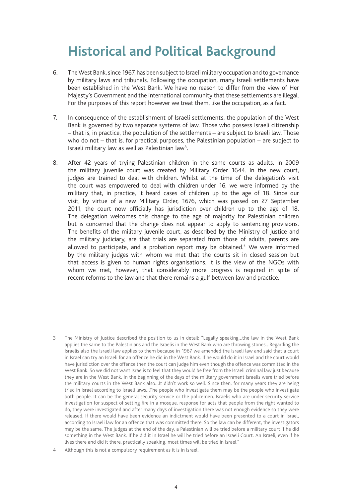### **Historical and Political Background**

- 6. The West Bank, since 1967, has been subject to Israeli military occupation and to governance by military laws and tribunals. Following the occupation, many Israeli settlements have been established in the West Bank. We have no reason to differ from the view of Her Majesty's Government and the international community that these settlements are illegal. For the purposes of this report however we treat them, like the occupation, as a fact.
- 7. In consequence of the establishment of Israeli settlements, the population of the West Bank is governed by two separate systems of law. Those who possess Israeli citizenship – that is, in practice, the population of the settlements – are subject to Israeli law. Those who do not – that is, for practical purposes, the Palestinian population – are subject to Israeli military law as well as Palestinian law<sup>3</sup>.
- 8. After 42 years of trying Palestinian children in the same courts as adults, in 2009 the military juvenile court was created by Military Order 1644. In the new court, judges are trained to deal with children. Whilst at the time of the delegation's visit the court was empowered to deal with children under 16, we were informed by the military that, in practice, it heard cases of children up to the age of 18. Since our visit, by virtue of a new Military Order, 1676, which was passed on 27 September 2011, the court now officially has jurisdiction over children up to the age of 18. The delegation welcomes this change to the age of majority for Palestinian children but is concerned that the change does not appear to apply to sentencing provisions. The benefits of the military juvenile court, as described by the Ministry of Justice and the military judiciary, are that trials are separated from those of adults, parents are allowed to participate, and a probation report may be obtained.<sup>4</sup> We were informed by the military judges with whom we met that the courts sit in closed session but that access is given to human rights organisations. It is the view of the NGOs with whom we met, however, that considerably more progress is required in spite of recent reforms to the law and that there remains a gulf between law and practice.

<sup>3</sup> The Ministry of Justice described the position to us in detail: "Legally speaking…the law in the West Bank applies the same to the Palestinians and the Israelis in the West Bank who are throwing stones…Regarding the Israelis also the Israeli law applies to them because in 1967 we amended the Israeli law and said that a court in Israel can try an Israeli for an offence he did in the West Bank. If he would do it in Israel and the court would have jurisdiction over the offence then the court can judge him even though the offence was committed in the West Bank. So we did not want Israelis to feel that they would be free from the Israeli criminal law just because they are in the West Bank. In the beginning of the days of the military government Israelis were tried before the military courts in the West Bank also…It didn't work so well. Since then, for many years they are being tried in Israel according to Israeli laws…The people who investigate them may be the people who investigate both people. It can be the general security service or the policemen. Israelis who are under security service investigation for suspect of setting fire in a mosque, response for acts that people from the right wanted to do, they were investigated and after many days of investigation there was not enough evidence so they were released. If there would have been evidence an indictment would have been presented to a court in Israel, according to Israeli law for an offence that was committed there. So the law can be different, the investigators may be the same. The judges at the end of the day, a Palestinian will be tried before a military court if he did something in the West Bank. If he did it in Israel he will be tried before an Israeli Court. An Israeli, even if he lives there and did it there, practically speaking, most times will be tried in Israel."

<sup>4</sup> Although this is not a compulsory requirement as it is in Israel.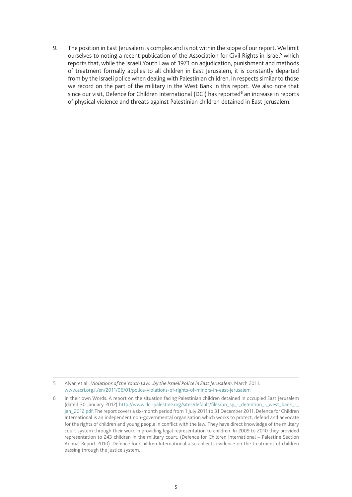9. The position in East Jerusalem is complex and is not within the scope of our report. We limit ourselves to noting a recent publication of the Association for Civil Rights in Israel<sup>5</sup> which reports that, while the Israeli Youth Law of 1971 on adjudication, punishment and methods of treatment formally applies to all children in East Jerusalem, it is constantly departed from by the Israeli police when dealing with Palestinian children, in respects similar to those we record on the part of the military in the West Bank in this report. We also note that since our visit, Defence for Children International (DCI) has reported<sup>6</sup> an increase in reports of physical violence and threats against Palestinian children detained in East Jerusalem.

<sup>5</sup> Alyan et al., *Violations of the Youth Law…by the Israeli Police in East Jerusalem*, March 2011. <www.acri.org.il/en/2011/06/01/police-violations-of-rights-of-minors-in-east-jerusalem>

<sup>6</sup> In their own Words. A report on the situation facing Palestinian children detained in occupied East Jerusalem (dated 30 January 2012) [http://www.dci-palestine.org/sites/default/files/un\\_sp\\_-\\_detention\\_-\\_west\\_bank\\_-\\_](http://www.dci-palestine.org/sites/default/files/un_sp_-_detention_-_west_bank_-_jan_2012.pdf) [jan\\_2012.pdf.](http://www.dci-palestine.org/sites/default/files/un_sp_-_detention_-_west_bank_-_jan_2012.pdf) The report covers a six-month period from 1 July 2011 to 31 December 2011. Defence for Children International is an independent non-governmental organisation which works to protect, defend and advocate for the rights of children and young people in conflict with the law. They have direct knowledge of the military court system through their work in providing legal representation to children. In 2009 to 2010 they provided representation to 243 children in the military court. (Defence for Children International – Palestine Section Annual Report 2010). Defence for Children International also collects evidence on the treatment of children passing through the justice system.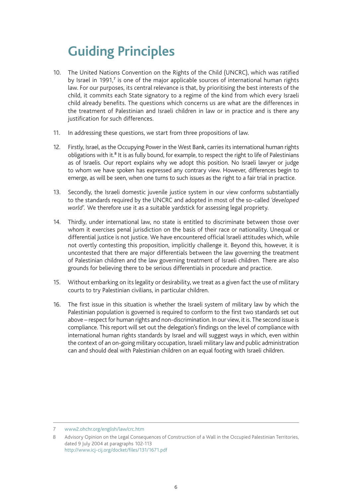## **Guiding Principles**

- 10. The United Nations Convention on the Rights of the Child (UNCRC), which was ratified by Israel in 1991,7 is one of the major applicable sources of international human rights law. For our purposes, its central relevance is that, by prioritising the best interests of the child, it commits each State signatory to a regime of the kind from which every Israeli child already benefits. The questions which concerns us are what are the differences in the treatment of Palestinian and Israeli children in law or in practice and is there any justification for such differences.
- 11. In addressing these questions, we start from three propositions of law.
- 12. Firstly, Israel, as the Occupying Power in the West Bank, carries its international human rights obligations with it.<sup>8</sup> It is as fully bound, for example, to respect the right to life of Palestinians as of Israelis. Our report explains why we adopt this position. No Israeli lawyer or judge to whom we have spoken has expressed any contrary view. However, differences begin to emerge, as will be seen, when one turns to such issues as the right to a fair trial in practice.
- 13. Secondly, the Israeli domestic juvenile justice system in our view conforms substantially to the standards required by the UNCRC and adopted in most of the so-called *'developed world'.* We therefore use it as a suitable yardstick for assessing legal propriety.
- 14. Thirdly, under international law, no state is entitled to discriminate between those over whom it exercises penal jurisdiction on the basis of their race or nationality. Unequal or differential justice is not justice. We have encountered official Israeli attitudes which, while not overtly contesting this proposition, implicitly challenge it. Beyond this, however, it is uncontested that there are major differentials between the law governing the treatment of Palestinian children and the law governing treatment of Israeli children. There are also grounds for believing there to be serious differentials in procedure and practice.
- 15. Without embarking on its legality or desirability, we treat as a given fact the use of military courts to try Palestinian civilians, in particular children.
- 16. The first issue in this situation is whether the Israeli system of military law by which the Palestinian population is governed is required to conform to the first two standards set out above – respect for human rights and non-discrimination. In our view, it is. The second issue is compliance. This report will set out the delegation's findings on the level of compliance with international human rights standards by Israel and will suggest ways in which, even within the context of an on-going military occupation, Israeli military law and public administration can and should deal with Palestinian children on an equal footing with Israeli children.

<sup>7</sup> [www2.ohchr.org/english/law/crc.htm](http://www2.ohchr.org/english/law/crc.htm)

<sup>8</sup> Advisory Opinion on the Legal Consequences of Construction of a Wall in the Occupied Palestinian Territories, dated 9 July 2004 at paragraphs 102-113 <http://www.icj-cij.org/docket/files/131/1671.pdf>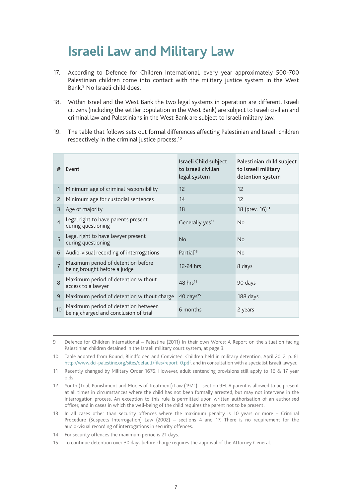### **Israeli Law and Military Law**

- 17. According to Defence for Children International, every year approximately 500-700 Palestinian children come into contact with the military justice system in the West Bank.<sup>9</sup> No Israeli child does.
- 18. Within Israel and the West Bank the two legal systems in operation are different. Israeli citizens (including the settler population in the West Bank) are subject to Israeli civilian and criminal law and Palestinians in the West Bank are subject to Israeli military law.
- 19. The table that follows sets out formal differences affecting Palestinian and Israeli children respectively in the criminal justice process.<sup>10</sup>

| #               | Event                                                                        | Israeli Child subject<br>to Israeli civilian<br>legal system | Palestinian child subject<br>to Israeli military<br>detention system |
|-----------------|------------------------------------------------------------------------------|--------------------------------------------------------------|----------------------------------------------------------------------|
| 1               | Minimum age of criminal responsibility                                       | 12                                                           | 12                                                                   |
| 2               | Minimum age for custodial sentences                                          | 14                                                           | 12                                                                   |
| 3               | Age of majority                                                              | 18                                                           | 18 (prev. 16) <sup>11</sup>                                          |
| $\overline{4}$  | Legal right to have parents present<br>during questioning                    | Generally yes <sup>12</sup>                                  | <b>No</b>                                                            |
| 5               | Legal right to have lawyer present<br>during questioning                     | <b>No</b>                                                    | <b>No</b>                                                            |
| 6               | Audio-visual recording of interrogations                                     | Partial <sup>13</sup>                                        | <b>No</b>                                                            |
| $\overline{7}$  | Maximum period of detention before<br>being brought before a judge           | 12-24 hrs                                                    | 8 days                                                               |
| $\mathcal{B}$   | Maximum period of detention without<br>access to a lawyer                    | 48 hrs <sup>14</sup>                                         | 90 days                                                              |
| 9               | Maximum period of detention without charge                                   | $40 \text{ days}^{15}$                                       | 188 days                                                             |
| 10 <sup>1</sup> | Maximum period of detention between<br>being charged and conclusion of trial | 6 months                                                     | 2 years                                                              |

<sup>9</sup> Defence for Children International – Palestine (2011) In their own Words: A Report on the situation facing Palestinian children detained in the Israeli military court system, at page 3.

- 13 In all cases other than security offences where the maximum penalty is 10 years or more Criminal Procedure (Suspects Interrogation) Law (2002) – sections 4 and 17. There is no requirement for the audio-visual recording of interrogations in security offences.
- 14 For security offences the maximum period is 21 days.
- 15 To continue detention over 30 days before charge requires the approval of the Attorney General.

<sup>10</sup> Table adopted from Bound, Blindfolded and Convicted: Children held in military detention, April 2012, p. 61 [http://www.dci-palestine.org/sites/default/files/report\\_0.pdf,](http://www.dci-palestine.org/sites/default/files/report_0.pdf) and in consultation with a specialist Israeli lawyer.

<sup>11</sup> Recently changed by Military Order 1676. However, adult sentencing provisions still apply to 16 & 17 year olds.

<sup>12</sup> Youth (Trial, Punishment and Modes of Treatment) Law (1971) – section 9H. A parent is allowed to be present at all times in circumstances where the child has not been formally arrested, but may not intervene in the interrogation process. An exception to this rule is permitted upon written authorisation of an authorised officer, and in cases in which the well-being of the child requires the parent not to be present.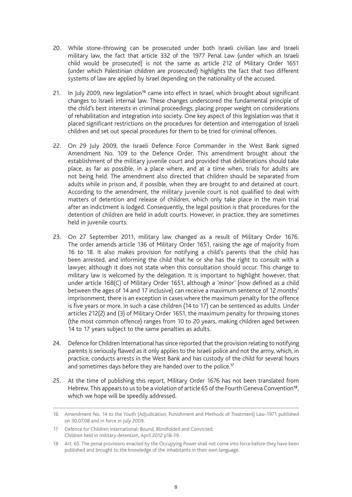- 20. While stone-throwing can be prosecuted under both Israeli civilian law and Israeli military law, the fact that article 332 of the 1977 Penal Law (under which an Israeli child would be prosecuted) is not the same as article 212 of Military Order 1651 (under which Palestinian children are prosecuted) highlights the fact that two different systems of law are applied by Israel depending on the nationality of the accused.
- 21. In July 2009, new legislation<sup>16</sup> came into effect in Israel, which brought about significant changes to Israeli internal law. These changes underscored the fundamental principle of the child's best interests in criminal proceedings, placing proper weight on considerations of rehabilitation and integration into society. One key aspect of this legislation was that it placed significant restrictions on the procedures for detention and interrogation of Israeli children and set out special procedures for them to be tried for criminal offences.
- 22. On 29 July 2009, the Israeli Defence Force Commander in the West Bank signed Amendment No. 109 to the Defence Order. This amendment brought about the establishment of the military juvenile court and provided that deliberations should take place, as far as possible, in a place where, and at a time when, trials for adults are not being held. The amendment also directed that children should be separated from adults while in prison and, if possible, when they are brought to and detained at court. According to the amendment, the military juvenile court is not qualified to deal with matters of detention and release of children, which only take place in the main trial after an indictment is lodged. Consequently, the legal position is that procedures for the detention of children are held in adult courts. However, in practice, they are sometimes held in juvenile courts.
- 23. On 27 September 2011, military law changed as a result of Military Order 1676. The order amends article 136 of Military Order 1651, raising the age of majority from 16 to 18. It also makes provision for notifying a child's parents that the child has been arrested, and informing the child that he or she has the right to consult with a lawyer, although it does not state when this consultation should occur. This change to military law is welcomed by the delegation. It is important to highlight however, that under article 168(C) of Military Order 1651, although a *'minor'* (now defined as a child between the ages of 14 and 17 inclusive) can receive a maximum sentence of 12 months' imprisonment, there is an exception in cases where the maximum penalty for the offence is five years or more. In such a case children (14 to 17) can be sentenced as adults. Under articles 212(2) and (3) of Military Order 1651, the maximum penalty for throwing stones (the most common offence) ranges from 10 to 20 years, making children aged between 14 to 17 years subject to the same penalties as adults.
- 24. Defence for Children International has since reported that the provision relating to notifying parents is seriously flawed as it only applies to the Israeli police and not the army, which, in practice, conducts arrests in the West Bank and has custody of the child for several hours and sometimes days before they are handed over to the police.<sup>17</sup>
- 25. At the time of publishing this report, Military Order 1676 has not been translated from Hebrew. This appears to us to be a violation of article 65 of the Fourth Geneva Convention<sup>18</sup>, which we hope will be speedily addressed.

<sup>16</sup> Amendment No. 14 to the Youth (Adjudication, Punishment and Methods of Treatment) Law-1971 published on 30.07.08 and in force in July 2009.

<sup>17</sup> Defence for Children International: Bound, Blindfolded and Convicted: Children held in military detention, April 2012 p18-19.

<sup>18</sup> Art. 65. The penal provisions enacted by the Occupying Power shall not come into force before they have been published and brought to the knowledge of the inhabitants in their own language.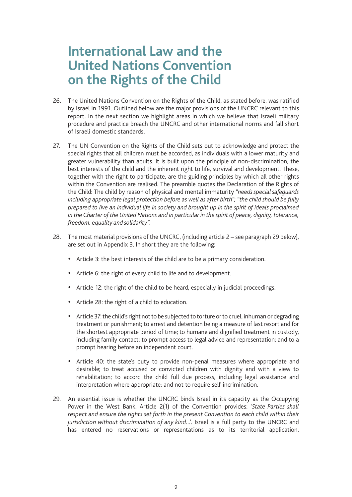### **International Law and the United Nations Convention on the Rights of the Child**

- 26. The United Nations Convention on the Rights of the Child, as stated before, was ratified by Israel in 1991. Outlined below are the major provisions of the UNCRC relevant to this report. In the next section we highlight areas in which we believe that Israeli military procedure and practice breach the UNCRC and other international norms and fall short of Israeli domestic standards.
- 27. The UN Convention on the Rights of the Child sets out to acknowledge and protect the special rights that all children must be accorded, as individuals with a lower maturity and greater vulnerability than adults. It is built upon the principle of non-discrimination, the best interests of the child and the inherent right to life, survival and development. These, together with the right to participate, are the guiding principles by which all other rights within the Convention are realised. The preamble quotes the Declaration of the Rights of the Child: The child by reason of physical and mental immaturity *"needs special safeguards including appropriate legal protection before as well as after birth"; "the child should be fully prepared to live an individual life in society and brought up in the spirit of ideals proclaimed in the Charter of the United Nations and in particular in the spirit of peace, dignity, tolerance, freedom, equality and solidarity".*
- 28. The most material provisions of the UNCRC, (including article 2 see paragraph 29 below), are set out in Appendix 3. In short they are the following:
	- Article 3: the best interests of the child are to be a primary consideration.
	- Article 6: the right of every child to life and to development.
	- Article 12: the right of the child to be heard, especially in judicial proceedings.
	- • Article 28: the right of a child to education.
	- Article 37: the child's right not to be subjected to torture or to cruel, inhuman or degrading treatment or punishment; to arrest and detention being a measure of last resort and for the shortest appropriate period of time; to humane and dignified treatment in custody, including family contact; to prompt access to legal advice and representation; and to a prompt hearing before an independent court.
	- • Article 40: the state's duty to provide non-penal measures where appropriate and desirable; to treat accused or convicted children with dignity and with a view to rehabilitation; to accord the child full due process, including legal assistance and interpretation where appropriate; and not to require self-incrimination.
- 29. An essential issue is whether the UNCRC binds Israel in its capacity as the Occupying Power in the West Bank. Article 2(1) of the Convention provides: '*State Parties shall respect and ensure the rights set forth in the present Convention to each child within their jurisdiction without discrimination of any kind*…'. Israel is a full party to the UNCRC and has entered no reservations or representations as to its territorial application.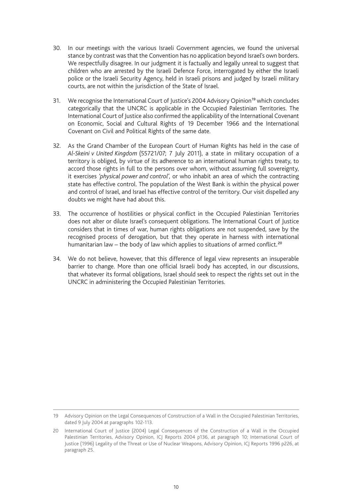- 30. In our meetings with the various Israeli Government agencies, we found the universal stance by contrast was that the Convention has no application beyond Israel's own borders. We respectfully disagree. In our judgment it is factually and legally unreal to suggest that children who are arrested by the Israeli Defence Force, interrogated by either the Israeli police or the Israeli Security Agency, held in Israeli prisons and judged by Israeli military courts, are not within the jurisdiction of the State of Israel.
- 31. We recognise the International Court of Iustice's 2004 Advisory Opinion<sup>19</sup> which concludes categorically that the UNCRC is applicable in the Occupied Palestinian Territories. The International Court of Justice also confirmed the applicability of the International Covenant on Economic, Social and Cultural Rights of 19 December 1966 and the International Covenant on Civil and Political Rights of the same date.
- 32. As the Grand Chamber of the European Court of Human Rights has held in the case of *Al-Skeini v United Kingdom* (55721/07; 7 July 2011), a state in military occupation of a territory is obliged, by virtue of its adherence to an international human rights treaty, to accord those rights in full to the persons over whom, without assuming full sovereignty, it exercises *'physical power and control'*, or who inhabit an area of which the contracting state has effective control. The population of the West Bank is within the physical power and control of Israel, and Israel has effective control of the territory. Our visit dispelled any doubts we might have had about this.
- 33. The occurrence of hostilities or physical conflict in the Occupied Palestinian Territories does not alter or dilute Israel's consequent obligations. The International Court of Justice considers that in times of war, human rights obligations are not suspended, save by the recognised process of derogation, but that they operate in harness with international humanitarian law – the body of law which applies to situations of armed conflict*.* 20
- 34. We do not believe, however, that this difference of legal view represents an insuperable barrier to change. More than one official Israeli body has accepted, in our discussions, that whatever its formal obligations, Israel should seek to respect the rights set out in the UNCRC in administering the Occupied Palestinian Territories.

<sup>19</sup> Advisory Opinion on the Legal Consequences of Construction of a Wall in the Occupied Palestinian Territories, dated 9 July 2004 at paragraphs 102-113.

<sup>20</sup> International Court of Justice (2004) Legal Consequences of the Construction of a Wall in the Occupied Palestinian Territories, Advisory Opinion, ICJ Reports 2004 p136, at paragraph 10; International Court of Justice (1996) Legality of the Threat or Use of Nuclear Weapons, Advisory Opinion, ICJ Reports 1996 p226, at paragraph 25.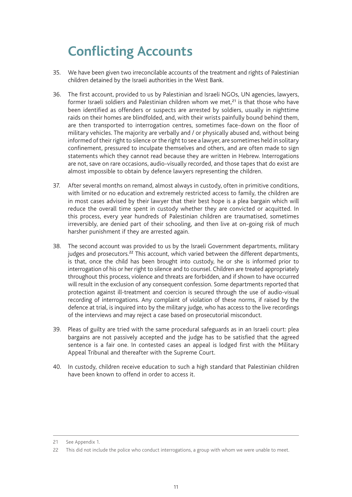## **Conflicting Accounts**

- 35. We have been given two irreconcilable accounts of the treatment and rights of Palestinian children detained by the Israeli authorities in the West Bank.
- 36. The first account, provided to us by Palestinian and Israeli NGOs, UN agencies, lawyers, former Israeli soldiers and Palestinian children whom we met,<sup>21</sup> is that those who have been identified as offenders or suspects are arrested by soldiers, usually in nighttime raids on their homes are blindfolded, and, with their wrists painfully bound behind them, are then transported to interrogation centres, sometimes face-down on the floor of military vehicles. The majority are verbally and / or physically abused and, without being informed of their right to silence or the right to see a lawyer, are sometimes held in solitary confinement, pressured to inculpate themselves and others, and are often made to sign statements which they cannot read because they are written in Hebrew. Interrogations are not, save on rare occasions, audio-visually recorded, and those tapes that do exist are almost impossible to obtain by defence lawyers representing the children.
- 37. After several months on remand, almost always in custody, often in primitive conditions, with limited or no education and extremely restricted access to family, the children are in most cases advised by their lawyer that their best hope is a plea bargain which will reduce the overall time spent in custody whether they are convicted or acquitted. In this process, every year hundreds of Palestinian children are traumatised, sometimes irreversibly, are denied part of their schooling, and then live at on-going risk of much harsher punishment if they are arrested again.
- 38. The second account was provided to us by the Israeli Government departments, military judges and prosecutors.<sup>22</sup> This account, which varied between the different departments, is that, once the child has been brought into custody, he or she is informed prior to interrogation of his or her right to silence and to counsel. Children are treated appropriately throughout this process, violence and threats are forbidden, and if shown to have occurred will result in the exclusion of any consequent confession. Some departments reported that protection against ill-treatment and coercion is secured through the use of audio-visual recording of interrogations. Any complaint of violation of these norms, if raised by the defence at trial, is inquired into by the military judge, who has access to the live recordings of the interviews and may reject a case based on prosecutorial misconduct.
- 39. Pleas of guilty are tried with the same procedural safeguards as in an Israeli court: plea bargains are not passively accepted and the judge has to be satisfied that the agreed sentence is a fair one. In contested cases an appeal is lodged first with the Military Appeal Tribunal and thereafter with the Supreme Court.
- 40. In custody, children receive education to such a high standard that Palestinian children have been known to offend in order to access it.

<sup>21</sup> See Appendix 1.

<sup>22</sup> This did not include the police who conduct interrogations, a group with whom we were unable to meet.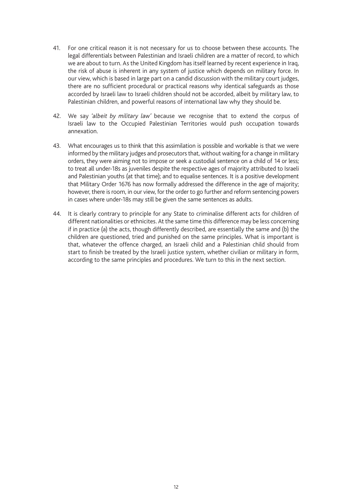- 41. For one critical reason it is not necessary for us to choose between these accounts. The legal differentials between Palestinian and Israeli children are a matter of record, to which we are about to turn. As the United Kingdom has itself learned by recent experience in Iraq, the risk of abuse is inherent in any system of justice which depends on military force. In our view, which is based in large part on a candid discussion with the military court judges, there are no sufficient procedural or practical reasons why identical safeguards as those accorded by Israeli law to Israeli children should not be accorded, albeit by military law, to Palestinian children, and powerful reasons of international law why they should be.
- 42. We say *'albeit by military law'* because we recognise that to extend the corpus of Israeli law to the Occupied Palestinian Territories would push occupation towards annexation.
- 43. What encourages us to think that this assimilation is possible and workable is that we were informed by the military judges and prosecutors that, without waiting for a change in military orders, they were aiming not to impose or seek a custodial sentence on a child of 14 or less; to treat all under-18s as juveniles despite the respective ages of majority attributed to Israeli and Palestinian youths (at that time); and to equalise sentences. It is a positive development that Military Order 1676 has now formally addressed the difference in the age of majority; however, there is room, in our view, for the order to go further and reform sentencing powers in cases where under-18s may still be given the same sentences as adults.
- 44. It is clearly contrary to principle for any State to criminalise different acts for children of different nationalities or ethnicites. At the same time this difference may be less concerning if in practice (a) the acts, though differently described, are essentially the same and (b) the children are questioned, tried and punished on the same principles. What is important is that, whatever the offence charged, an Israeli child and a Palestinian child should from start to finish be treated by the Israeli justice system, whether civilian or military in form, according to the same principles and procedures. We turn to this in the next section.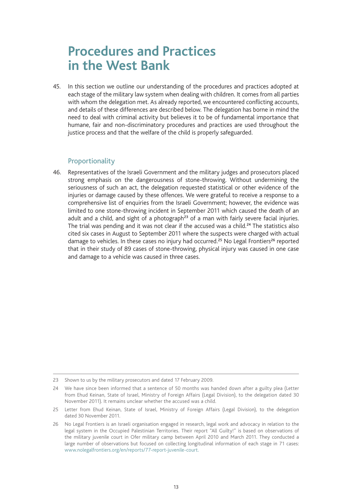### **Procedures and Practices in the West Bank**

45. In this section we outline our understanding of the procedures and practices adopted at each stage of the military law system when dealing with children. It comes from all parties with whom the delegation met. As already reported, we encountered conflicting accounts, and details of these differences are described below. The delegation has borne in mind the need to deal with criminal activity but believes it to be of fundamental importance that humane, fair and non-discriminatory procedures and practices are used throughout the justice process and that the welfare of the child is properly safeguarded.

#### Proportionality

46. Representatives of the Israeli Government and the military judges and prosecutors placed strong emphasis on the dangerousness of stone-throwing. Without undermining the seriousness of such an act, the delegation requested statistical or other evidence of the injuries or damage caused by these offences. We were grateful to receive a response to a comprehensive list of enquiries from the Israeli Government; however, the evidence was limited to one stone-throwing incident in September 2011 which caused the death of an adult and a child, and sight of a photograph<sup>23</sup> of a man with fairly severe facial injuries. The trial was pending and it was not clear if the accused was a child.<sup>24</sup> The statistics also cited six cases in August to September 2011 where the suspects were charged with actual damage to vehicles. In these cases no injury had occurred.<sup>25</sup> No Legal Frontiers<sup>26</sup> reported that in their study of 89 cases of stone-throwing, physical injury was caused in one case and damage to a vehicle was caused in three cases.

<sup>23</sup> Shown to us by the military prosecutors and dated 17 February 2009.

<sup>24</sup> We have since been informed that a sentence of 50 months was handed down after a guilty plea (Letter from Ehud Keinan, State of Israel, Ministry of Foreign Affairs (Legal Division), to the delegation dated 30 November 2011). It remains unclear whether the accused was a child.

<sup>25</sup> Letter from Ehud Keinan, State of Israel, Ministry of Foreign Affairs (Legal Division), to the delegation dated 30 November 2011.

<sup>26</sup> No Legal Frontiers is an Israeli organisation engaged in research, legal work and advocacy in relation to the legal system in the Occupied Palestinian Territories. Their report "All Guilty!" is based on observations of the military juvenile court in Ofer military camp between April 2010 and March 2011. They conducted a large number of observations but focused on collecting longitudinal information of each stage in 71 cases: [www.nolegalfrontiers.org/en/reports/77-report-juvenile-court.](http://nolegalfrontiers.org/en/reports/77-report-juvenile-court)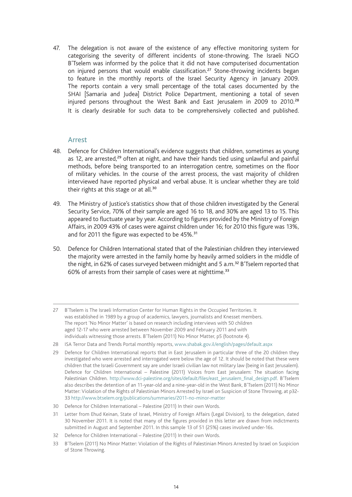47. The delegation is not aware of the existence of any effective monitoring system for categorising the severity of different incidents of stone-throwing. The Israeli NGO B'Tselem was informed by the police that it did not have computerised documentation on injured persons that would enable classification.<sup>27</sup> Stone-throwing incidents began to feature in the monthly reports of the Israel Security Agency in January 2009. The reports contain a very small percentage of the total cases documented by the SHAI [Samaria and Judea] District Police Department, mentioning a total of seven injured persons throughout the West Bank and East Jerusalem in 2009 to 2010.<sup>28</sup> It is clearly desirable for such data to be comprehensively collected and published.

#### Arrest

- 48. Defence for Children International's evidence suggests that children, sometimes as young as 12, are arrested,<sup>29</sup> often at night, and have their hands tied using unlawful and painful methods, before being transported to an interrogation centre, sometimes on the floor of military vehicles. In the course of the arrest process, the vast majority of children interviewed have reported physical and verbal abuse. It is unclear whether they are told their rights at this stage or at all.<sup>30</sup>
- 49. The Ministry of Justice's statistics show that of those children investigated by the General Security Service, 70% of their sample are aged 16 to 18, and 30% are aged 13 to 15. This appeared to fluctuate year by year. According to figures provided by the Ministry of Foreign Affairs, in 2009 43% of cases were against children under 16; for 2010 this figure was 13%, and for 2011 the figure was expected to be 45%.<sup>31</sup>
- 50. Defence for Children International stated that of the Palestinian children they interviewed the majority were arrested in the family home by heavily armed soldiers in the middle of the night, in 62% of cases surveyed between midnight and 5 a.m.<sup>32</sup> B'Tselem reported that 60% of arrests from their sample of cases were at nighttime.<sup>33</sup>

<sup>27</sup> B'Tselem is The Israeli Information Center for Human Rights in the Occupied Territories. It was established in 1989 by a group of academics, lawyers, journalists and Knesset members. The report 'No Minor Matter' is based on research including interviews with 50 children aged 12-17 who were arrested between November 2009 and February 2011 and with individuals witnessing those arrests. B'Tselem (2011) No Minor Matter, p5 (footnote 4).

<sup>28</sup> ISA Terror Data and Trends Portal monthly reports, [www.shabak.gov.il/english/pages/default.aspx](http://www.shabak.gov.il/english/pages/default.aspx)

<sup>29</sup> Defence for Children International reports that in East Jerusalem in particular three of the 20 children they investigated who were arrested and interrogated were below the age of 12. It should be noted that these were children that the Israeli Government say are under Israeli civilian law not military law (being in East Jerusalem). Defence for Children International – Palestine (2011) Voices from East Jerusalem: The situation facing Palestinian Children. [http://www.dci-palestine.org/sites/default/files/east\\_jerusalem\\_final\\_design.pdf](http://www.dci-palestine.org/sites/default/files/east_jerusalem_final_design.pdf). B'Tselem also describes the detention of an 11-year-old and a nine-year-old in the West Bank, B'Tselem (2011) No Minor Matter: Violation of the Rights of Palestinian Minors Arrested by Israel on Suspicion of Stone Throwing, at p32- 33 <http://www.btselem.org/publications/summaries/2011-no-minor-matter>

<sup>30</sup> Defence for Children International – Palestine (2011) In their own Words.

<sup>31</sup> Letter from Ehud Keinan, State of Israel, Ministry of Foreign Affairs (Legal Division), to the delegation, dated 30 November 2011. It is noted that many of the figures provided in this letter are drawn from indictments submitted in August and September 2011. In this sample 13 of 51 (25%) cases involved under-16s.

<sup>32</sup> Defence for Children International – Palestine (2011) In their own Words.

<sup>33</sup> B'Tselem (2011) No Minor Matter: Violation of the Rights of Palestinian Minors Arrested by Israel on Suspicion of Stone Throwing.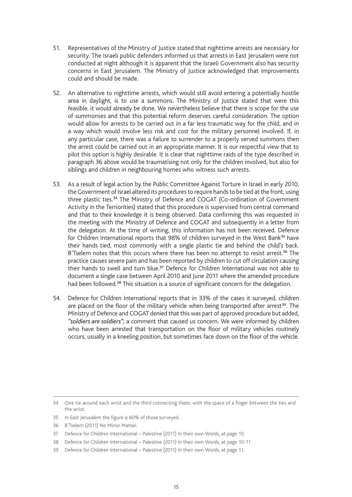- 51. Representatives of the Ministry of Justice stated that nighttime arrests are necessary for security. The Israeli public defenders informed us that arrests in East Jerusalem were not conducted at night although it is apparent that the Israeli Government also has security concerns in East Jerusalem. The Ministry of Justice acknowledged that improvements could and should be made.
- 52. An alternative to nighttime arrests, which would still avoid entering a potentially hostile area in daylight, is to use a summons. The Ministry of Justice stated that were this feasible, it would already be done. We nevertheless believe that there is scope for the use of summonses and that this potential reform deserves careful consideration. The option would allow for arrests to be carried out in a far less traumatic way for the child, and in a way which would involve less risk and cost for the military personnel involved. If, in any particular case, there was a failure to surrender to a properly served summons then the arrest could be carried out in an appropriate manner. It is our respectful view that to pilot this option is highly desirable. It is clear that nighttime raids of the type described in paragraph 36 above would be traumatising not only for the children involved, but also for siblings and children in neighbouring homes who witness such arrests.
- 53. As a result of legal action by the Public Committee Against Torture in Israel in early 2010, the Government of Israel altered its procedures to require hands to be tied at the front, using three plastic ties.<sup>34</sup> The Ministry of Defence and COGAT (Co-ordination of Government Activity in the Terriorities) stated that this procedure is supervised from central command and that to their knowledge it is being observed. Data confirming this was requested in the meeting with the Ministry of Defence and COGAT and subsequently in a letter from the delegation. At the time of writing, this information has not been received. Defence for Children International reports that 98% of children surveyed in the West Bank<sup>35</sup> have their hands tied, most commonly with a single plastic tie and behind the child's back. B'Tselem notes that this occurs where there has been no attempt to resist arrest.<sup>36</sup> The practice causes severe pain and has been reported by children to cut off circulation causing their hands to swell and turn blue.<sup>37</sup> Defence for Children International was not able to document a single case between April 2010 and June 2011 where the amended procedure had been followed.<sup>38</sup> This situation is a source of significant concern for the delegation.
- 54. Defence for Children International reports that in 33% of the cases it surveyed, children are placed on the floor of the military vehicle when being transported after arrest<sup>39</sup>. The Ministry of Defence and COGAT denied that this was part of approved procedure but added, *"soldiers are soldiers"*; a comment that caused us concern. We were informed by children who have been arrested that transportation on the floor of military vehicles routinely occurs, usually in a kneeling position, but sometimes face down on the floor of the vehicle.

<sup>34</sup> One tie around each wrist and the third connecting them, with the space of a finger between the ties and the wrist.

<sup>35</sup> In East Jerusalem the figure is 60% of those surveyed.

<sup>36</sup> B'Tselem (2011) No Minor Matter.

<sup>37</sup> Defence for Children International – Palestine (2011) In their own Words, at page 10.

<sup>38</sup> Defence for Children International – Palestine (2011) In their own Words, at page 10-11.

<sup>39</sup> Defence for Children International – Palestine (2011) In their own Words, at page 11.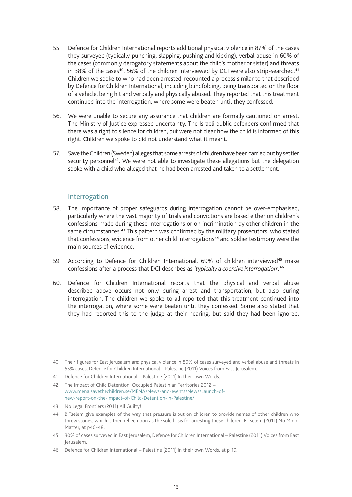- 55. Defence for Children International reports additional physical violence in 87% of the cases they surveyed (typically punching, slapping, pushing and kicking), verbal abuse in 60% of the cases (commonly derogatory statements about the child's mother or sister) and threats in 38% of the cases<sup>40</sup>. 56% of the children interviewed by DCI were also strip-searched.<sup>41</sup> Children we spoke to who had been arrested, recounted a process similar to that described by Defence for Children International, including blindfolding, being transported on the floor of a vehicle, being hit and verbally and physically abused. They reported that this treatment continued into the interrogation, where some were beaten until they confessed.
- 56. We were unable to secure any assurance that children are formally cautioned on arrest. The Ministry of Justice expressed uncertainty. The Israeli public defenders confirmed that there was a right to silence for children, but were not clear how the child is informed of this right. Children we spoke to did not understand what it meant.
- 57. Save the Children (Sweden) alleges that some arrests of children have been carried out by settler security personnel<sup>42</sup>. We were not able to investigate these allegations but the delegation spoke with a child who alleged that he had been arrested and taken to a settlement.

#### Interrogation

- 58. The importance of proper safeguards during interrogation cannot be over-emphasised, particularly where the vast majority of trials and convictions are based either on children's confessions made during these interrogations or on incrimination by other children in the same circumstances.<sup>43</sup> This pattern was confirmed by the military prosecutors, who stated that confessions, evidence from other child interrogations<sup>44</sup> and soldier testimony were the main sources of evidence.
- 59. According to Defence for Children International, 69% of children interviewed<sup>45</sup> make confessions after a process that DCI describes as *'typically a coercive interrogation'.*<sup>46</sup>
- 60. Defence for Children International reports that the physical and verbal abuse described above occurs not only during arrest and transportation, but also during interrogation. The children we spoke to all reported that this treatment continued into the interrogation, where some were beaten until they confessed. Some also stated that they had reported this to the judge at their hearing, but said they had been ignored.

<sup>40</sup> Their figures for East Jerusalem are: physical violence in 80% of cases surveyed and verbal abuse and threats in 55% cases, Defence for Children International – Palestine (2011) Voices from East Jerusalem.

<sup>41</sup> Defence for Children International – Palestine (2011) In their own Words.

<sup>42</sup> The Impact of Child Detention: Occupied Palestinian Territories 2012 – [www.mena.savethechildren.se/MENA/News-and-events/News/Launch-of](http://mena.savethechildren.se/MENA/News-and-events/News/Launch-of-new-report-on-the-Impact-of-Child-Detention-in-Palestine/)[new-report-on-the-Impact-of-Child-Detention-in-Palestine/](http://mena.savethechildren.se/MENA/News-and-events/News/Launch-of-new-report-on-the-Impact-of-Child-Detention-in-Palestine/)

<sup>43</sup> No Legal Frontiers (2011) All Guilty!

<sup>44</sup> B'Tselem give examples of the way that pressure is put on children to provide names of other children who threw stones, which is then relied upon as the sole basis for arresting these children. B'Tselem (2011) No Minor Matter, at p46-48.

<sup>45</sup> 30% of cases surveyed in East Jerusalem, Defence for Children International – Palestine (2011) Voices from East Jerusalem.

<sup>46</sup> Defence for Children International – Palestine (2011) In their own Words, at p 19.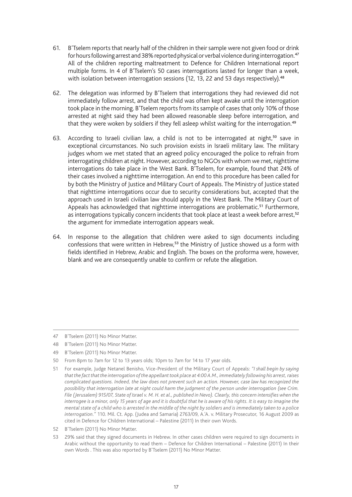- 61. B'Tselem reports that nearly half of the children in their sample were not given food or drink for hours following arrest and 38% reported physical or verbal violence during interrogation.<sup>47</sup> All of the children reporting maltreatment to Defence for Children International report multiple forms. In 4 of B'Tselem's 50 cases interrogations lasted for longer than a week, with isolation between interrogation sessions (12, 13, 22 and 53 days respectively).<sup>48</sup>
- 62. The delegation was informed by B'Tselem that interrogations they had reviewed did not immediately follow arrest, and that the child was often kept awake until the interrogation took place in the morning. B'Tselem reports from its sample of cases that only 10% of those arrested at night said they had been allowed reasonable sleep before interrogation, and that they were woken by soldiers if they fell asleep whilst waiting for the interrogation.<sup>49</sup>
- 63. According to Israeli civilian law, a child is not to be interrogated at night,<sup>50</sup> save in exceptional circumstances. No such provision exists in Israeli military law. The military judges whom we met stated that an agreed policy encouraged the police to refrain from interrogating children at night. However, according to NGOs with whom we met, nighttime interrogations do take place in the West Bank. B'Tselem, for example, found that 24% of their cases involved a nighttime interrogation. An end to this procedure has been called for by both the Ministry of Justice and Military Court of Appeals. The Ministry of Justice stated that nighttime interrogations occur due to security considerations but, accepted that the approach used in Israeli civilian law should apply in the West Bank. The Military Court of Appeals has acknowledged that nighttime interrogations are problematic.<sup>51</sup> Furthermore, as interrogations typically concern incidents that took place at least a week before arrest,<sup>52</sup> the argument for immediate interrogation appears weak.
- 64. In response to the allegation that children were asked to sign documents including confessions that were written in Hebrew,<sup>53</sup> the Ministry of Justice showed us a form with fields identified in Hebrew, Arabic and English. The boxes on the proforma were, however, blank and we are consequently unable to confirm or refute the allegation.

49 B'Tselem (2011) No Minor Matter.

52 B'Tselem (2011) No Minor Matter.

53 29% said that they signed documents in Hebrew. In other cases children were required to sign documents in Arabic without the opportunity to read them – Defence for Children International – Palestine (2011) In their own Words . This was also reported by B'Tselem (2011) No Minor Matter.

<sup>47</sup> B'Tselem (2011) No Minor Matter.

<sup>48</sup> B'Tselem (2011) No Minor Matter.

<sup>50</sup> From 8pm to 7am for 12 to 13 years olds; 10pm to 7am for 14 to 17 year olds.

<sup>51</sup> For example, Judge Netanel Benisho, Vice-President of the Military Court of Appeals: *"I shall begin by saying that the fact that the interrogation of the appellant took place at 4:00 A.M., immediately following his arrest, raises complicated questions. Indeed, the law does not prevent such an action. However, case law has recognized the possibility that interrogation late at night could harm the judgment of the person under interrogation (see Crim. File (Jerusalem) 915/07, State of Israel v. M. H. et al., published in Nevo). Clearly, this concern intensifies when the interrogee is a minor, only 15 years of age and it is doubtful that he is aware of his rights. It is easy to imagine the mental state of a child who is arrested in the middle of the night by soldiers and is immediately taken to a police interrogation."* 110. Mil. Ct. App. (Judea and Samaria) 2763/09, A.'A. v. Military Prosecutor, 16 August 2009 as cited in Defence for Children International – Palestine (2011) In their own Words.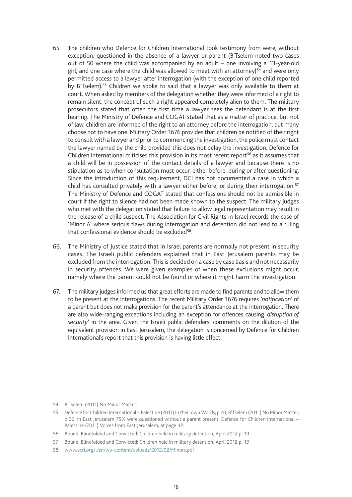- 65. The children who Defence for Children International took testimony from were, without exception, questioned in the absence of a lawyer or parent (B'Tselem noted two cases out of 50 where the child was accompanied by an adult – one involving a 13-year-old girl, and one case where the child was allowed to meet with an attorney)<sup>54</sup> and were only permitted access to a lawyer after interrogation (with the exception of one child reported by B'Tselem).<sup>55</sup> Children we spoke to said that a lawyer was only available to them at court. When asked by members of the delegation whether they were informed of a right to remain silent, the concept of such a right appeared completely alien to them. The military prosecutors stated that often the first time a lawyer sees the defendant is at the first hearing. The Ministry of Defence and COGAT stated that as a matter of practice, but not of law, children are informed of the right to an attorney before the interrogation, but many choose not to have one. Military Order 1676 provides that children be notified of their right to consult with a lawyer and prior to commencing the investigation, the police must contact the lawyer named by the child provided this does not delay the investigation. Defence for Children International criticises this provision in its most recent report<sup>56</sup> as it assumes that a child will be in possession of the contact details of a lawyer and because there is no stipulation as to when consultation must occur, either before, during or after questioning. Since the introduction of this requirement, DCI has not documented a case in which a child has consulted privately with a lawyer either before, or during their interrogation.<sup>57</sup> The Ministry of Defence and COGAT stated that confessions should not be admissible in court if the right to silence had not been made known to the suspect. The military judges who met with the delegation stated that failure to allow legal representation may result in the release of a child suspect. The Association for Civil Rights in Israel records the case of 'Minor A' where serious flaws during interrogation and detention did not lead to a ruling that confessional evidence should be excluded<sup>58</sup>.
- 66. The Ministry of Justice stated that in Israel parents are normally not present in security cases. The Israeli public defenders explained that in East Jerusalem parents may be excluded from the interrogation. This is decided on a case by case basis and not necessarily in security offences. We were given examples of when these exclusions might occur, namely where the parent could not be found or where it might harm the investigation.
- 67. The military judges informed us that great efforts are made to find parents and to allow them to be present at the interrogations. The recent Military Order 1676 requires *'notification'* of a parent but does not make provision for the parent's attendance at the interrogation. There are also wide-ranging exceptions including an exception for offences causing *'disruption of security'* in the area. Given the Israeli public defenders' comments on the dilution of the equivalent provision in East Jerusalem, the delegation is concerned by Defence for Children International's report that this provision is having little effect.

<sup>54</sup> B'Tselem (2011) No Minor Matter.

<sup>55</sup> Defence for Children International – Palestine (2011) In their own Words, p 20; B'Tselem (2011) No Minor Matter, p 36; In East Jerusalem 75% were questioned without a parent present. Defence for Children International – Palestine (2011) Voices from East Jerusalem, at page 42.

<sup>56</sup> Bound, Blindfolded and Convicted: Children held in military detention, April 2012 p. 19

<sup>57</sup> Bound, Blindfolded and Convicted: Children held in military detention, April 2012 p. 19

<sup>58</sup> [www.acri.org.il/en/wp-content/uploads/2012/02/Minors.pdf](http://www.acri.org.il/en/wp-content/uploads/2012/02/Minors.pdf)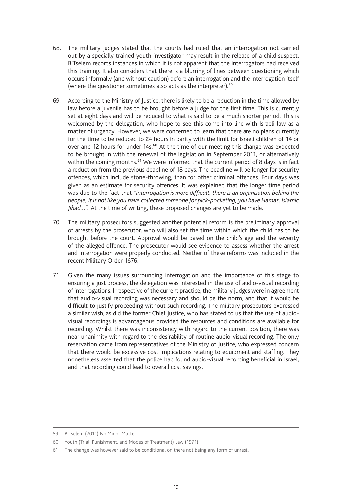- 68. The military judges stated that the courts had ruled that an interrogation not carried out by a specially trained youth investigator may result in the release of a child suspect. B'Tselem records instances in which it is not apparent that the interrogators had received this training. It also considers that there is a blurring of lines between questioning which occurs informally (and without caution) before an interrogation and the interrogation itself (where the questioner sometimes also acts as the interpreter).<sup>59</sup>
- 69. According to the Ministry of Justice, there is likely to be a reduction in the time allowed by law before a juvenile has to be brought before a judge for the first time. This is currently set at eight days and will be reduced to what is said to be a much shorter period. This is welcomed by the delegation, who hope to see this come into line with Israeli law as a matter of urgency. However, we were concerned to learn that there are no plans currently for the time to be reduced to 24 hours in parity with the limit for Israeli children of 14 or over and 12 hours for under-14s.<sup>60</sup> At the time of our meeting this change was expected to be brought in with the renewal of the legislation in September 2011, or alternatively within the coming months.<sup>61</sup> We were informed that the current period of 8 days is in fact a reduction from the previous deadline of 18 days. The deadline will be longer for security offences, which include stone-throwing, than for other criminal offences. Four days was given as an estimate for security offences. It was explained that the longer time period was due to the fact that *"interrogation is more difficult, there is an organisation behind the people, it is not like you have collected someone for pick-pocketing, you have Hamas, Islamic Jihad…".* At the time of writing, these proposed changes are yet to be made.
- 70. The military prosecutors suggested another potential reform is the preliminary approval of arrests by the prosecutor, who will also set the time within which the child has to be brought before the court. Approval would be based on the child's age and the severity of the alleged offence. The prosecutor would see evidence to assess whether the arrest and interrogation were properly conducted. Neither of these reforms was included in the recent Military Order 1676.
- 71. Given the many issues surrounding interrogation and the importance of this stage to ensuring a just process, the delegation was interested in the use of audio-visual recording of interrogations. Irrespective of the current practice, the military judges were in agreement that audio-visual recording was necessary and should be the norm, and that it would be difficult to justify proceeding without such recording. The military prosecutors expressed a similar wish, as did the former Chief Justice, who has stated to us that the use of audiovisual recordings is advantageous provided the resources and conditions are available for recording. Whilst there was inconsistency with regard to the current position, there was near unanimity with regard to the desirability of routine audio-visual recording. The only reservation came from representatives of the Ministry of Justice, who expressed concern that there would be excessive cost implications relating to equipment and staffing. They nonetheless asserted that the police had found audio-visual recording beneficial in Israel, and that recording could lead to overall cost savings.

<sup>59</sup> B'Tselem (2011) No Minor Matter

<sup>60</sup> Youth (Trial, Punishment, and Modes of Treatment) Law (1971)

<sup>61</sup> The change was however said to be conditional on there not being any form of unrest.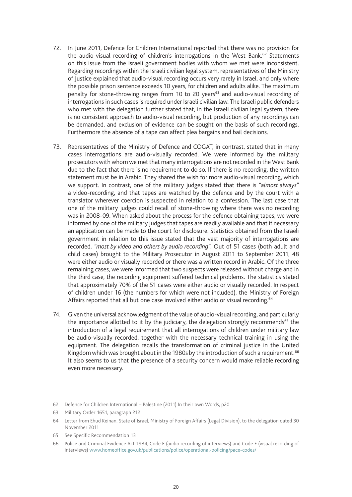- 72. In June 2011, Defence for Children International reported that there was no provision for the audio-visual recording of children's interrogations in the West Bank.<sup>62</sup> Statements on this issue from the Israeli government bodies with whom we met were inconsistent. Regarding recordings within the Israeli civilian legal system, representatives of the Ministry of Justice explained that audio-visual recording occurs very rarely in Israel, and only where the possible prison sentence exceeds 10 years, for children and adults alike. The maximum penalty for stone-throwing ranges from 10 to 20 years<sup>63</sup> and audio-visual recording of interrogations in such cases is required under Israeli civilian law. The Israeli public defenders who met with the delegation further stated that, in the Israeli civilian legal system, there is no consistent approach to audio-visual recording, but production of any recordings can be demanded, and exclusion of evidence can be sought on the basis of such recordings. Furthermore the absence of a tape can affect plea bargains and bail decisions.
- 73. Representatives of the Ministry of Defence and COGAT, in contrast, stated that in many cases interrogations are audio-visually recorded. We were informed by the military prosecutors with whom we met that many interrogations are not recorded in the West Bank due to the fact that there is no requirement to do so. If there is no recording, the written statement must be in Arabic. They shared the wish for more audio-visual recording, which we support. In contrast, one of the military judges stated that there is *"almost always"* a video-recording, and that tapes are watched by the defence and by the court with a translator wherever coercion is suspected in relation to a confession. The last case that one of the military judges could recall of stone-throwing where there was no recording was in 2008-09. When asked about the process for the defence obtaining tapes, we were informed by one of the military judges that tapes are readily available and that if necessary an application can be made to the court for disclosure. Statistics obtained from the Israeli government in relation to this issue stated that the vast majority of interrogations are recorded, *"most by video and others by audio recording"*. Out of 51 cases (both adult and child cases) brought to the Military Prosecutor in August 2011 to September 2011, 48 were either audio or visually recorded or there was a written record in Arabic. Of the three remaining cases, we were informed that two suspects were released without charge and in the third case, the recording equipment suffered technical problems. The statistics stated that approximately 70% of the 51 cases were either audio or visually recorded. In respect of children under 16 (the numbers for which were not included), the Ministry of Foreign Affairs reported that all but one case involved either audio or visual recording.<sup>64</sup>
- 74. Given the universal acknowledgment of the value of audio-visual recording, and particularly the importance allotted to it by the judiciary, the delegation strongly recommends<sup>65</sup> the introduction of a legal requirement that all interrogations of children under military law be audio-visually recorded, together with the necessary technical training in using the equipment. The delegation recalls the transformation of criminal justice in the United Kingdom which was brought about in the 1980s by the introduction of such a requirement.<sup>66</sup> It also seems to us that the presence of a security concern would make reliable recording even more necessary.

<sup>62</sup> Defence for Children International – Palestine (2011) In their own Words, p20

<sup>63</sup> Military Order 1651, paragraph 212

<sup>64</sup> Letter from Ehud Keinan, State of Israel, Ministry of Foreign Affairs (Legal Division), to the delegation dated 30 November 2011

<sup>65</sup> See Specific Recommendation 13

<sup>66</sup> Police and Criminal Evidence Act 1984, Code E (audio recording of interviews) and Code F (visual recording of interviews) [www.homeoffice.gov.uk/publications/police/operational-policing/pace-codes/](http://www.homeoffice.gov.uk/publications/police/operational-policing/pace-codes/)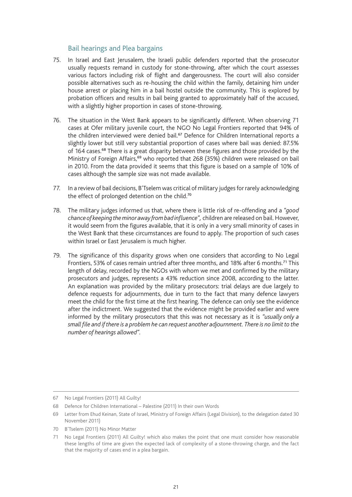#### Bail hearings and Plea bargains

- 75. In Israel and East Jerusalem, the Israeli public defenders reported that the prosecutor usually requests remand in custody for stone-throwing, after which the court assesses various factors including risk of flight and dangerousness. The court will also consider possible alternatives such as re-housing the child within the family, detaining him under house arrest or placing him in a bail hostel outside the community. This is explored by probation officers and results in bail being granted to approximately half of the accused, with a slightly higher proportion in cases of stone-throwing.
- 76. The situation in the West Bank appears to be significantly different. When observing 71 cases at Ofer military juvenile court, the NGO No Legal Frontiers reported that 94% of the children interviewed were denied bail.<sup>67</sup> Defence for Children International reports a slightly lower but still very substantial proportion of cases where bail was denied: 87.5% of 164 cases.<sup>68</sup> There is a great disparity between these figures and those provided by the Ministry of Foreign Affairs,<sup>69</sup> who reported that 268 (35%) children were released on bail in 2010. From the data provided it seems that this figure is based on a sample of 10% of cases although the sample size was not made available.
- 77. In a review of bail decisions, B'Tselem was critical of military judges for rarely acknowledging the effect of prolonged detention on the child.<sup>70</sup>
- 78. The military judges informed us that, where there is little risk of re-offending and a *"good chance of keeping the minor away from bad influence",* children are released on bail. However, it would seem from the figures available, that it is only in a very small minority of cases in the West Bank that these circumstances are found to apply. The proportion of such cases within Israel or East Jerusalem is much higher.
- 79. The significance of this disparity grows when one considers that according to No Legal Frontiers, 53% of cases remain untried after three months, and 18% after 6 months.<sup>71</sup> This length of delay, recorded by the NGOs with whom we met and confirmed by the military prosecutors and judges, represents a 43% reduction since 2008, according to the latter. An explanation was provided by the military prosecutors: trial delays are due largely to defence requests for adjournments, due in turn to the fact that many defence lawyers meet the child for the first time at the first hearing. The defence can only see the evidence after the indictment. We suggested that the evidence might be provided earlier and were informed by the military prosecutors that this was not necessary as it is *"usually only a small file and if there is a problem he can request another adjournment. There is no limit to the number of hearings allowed"*.

<sup>67</sup> No Legal Frontiers (2011) All Guilty!

<sup>68</sup> Defence for Children International – Palestine (2011) In their own Words

<sup>69</sup> Letter from Ehud Keinan, State of Israel, Ministry of Foreign Affairs (Legal Division), to the delegation dated 30 November 2011)

<sup>70</sup> B'Tselem (2011) No Minor Matter

<sup>71</sup> No Legal Frontiers (2011) All Guilty! which also makes the point that one must consider how reasonable these lengths of time are given the expected lack of complexity of a stone-throwing charge, and the fact that the majority of cases end in a plea bargain.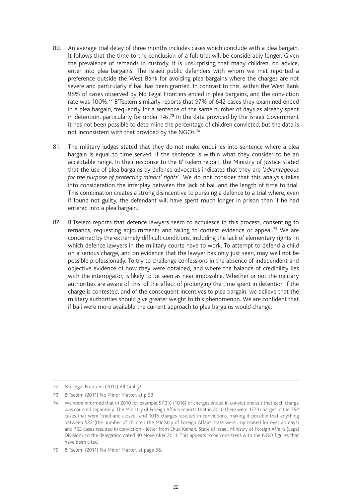- 80. An average trial delay of three months includes cases which conclude with a plea bargain. It follows that the time to the conclusion of a full trial will be considerably longer. Given the prevalence of remands in custody, it is unsurprising that many children, on advice, enter into plea bargains. The Israeli public defenders with whom we met reported a preference outside the West Bank for avoiding plea bargains where the charges are not severe and particularly if bail has been granted. In contrast to this, within the West Bank 98% of cases observed by No Legal Frontiers ended in plea bargains, and the conviction rate was 100%.<sup>72</sup> B'Tselem similarly reports that 97% of 642 cases they examined ended in a plea bargain, frequently for a sentence of the same number of days as already spent in detention, particularly for under 14s.<sup>73</sup> In the data provided by the Israeli Government it has not been possible to determine the percentage of children convicted, but the data is not inconsistent with that provided by the NGOs.<sup>74</sup>
- 81. The military judges stated that they do not make enquiries into sentence where a plea bargain is equal to time served, if the sentence is within what they consider to be an acceptable range. In their response to the B'Tselem report, the Ministry of Justice stated that the use of plea bargains by defence advocates indicates that they are *'advantageous for the purpose of protecting minors' rights'.* We do not consider that this analysis takes into consideration the interplay between the lack of bail and the length of time to trial. This combination creates a strong disincentive to pursuing a defence to a trial where, even if found not guilty, the defendant will have spent much longer in prison than if he had entered into a plea bargain.
- 82. B'Tselem reports that defence lawyers seem to acquiesce in this process, consenting to remands, requesting adjournments and failing to contest evidence or appeal.<sup>75</sup> We are concerned by the extremely difficult conditions, including the lack of elementary rights, in which defence lawyers in the military courts have to work. To attempt to defend a child on a serious charge, and on evidence that the lawyer has only just seen, may well not be possible professionally. To try to challenge confessions in the absence of independent and objective evidence of how they were obtained, and where the balance of credibility lies with the interrogator, is likely to be seen as near impossible. Whether or not the military authorities are aware of this, of the effect of prolonging the time spent in detention if the charge is contested, and of the consequent incentives to plea bargain, we believe that the military authorities should give greater weight to this phenomenon. We are confident that if bail were more available the current approach to plea bargains would change.

<sup>72</sup> No Legal Frontiers (2011) All Guilty!

<sup>73</sup> B'Tselem (2011) No Minor Matter, at p 53

<sup>74</sup> We were informed that in 2010 for example 57.3% (1016) of charges ended in convictions but that each charge was counted separately. The Ministry of Foreign Affairs reports that in 2010 there were 1773 charges in the 752 cases that were 'tried and closed', and 1016 charges resulted in convictions, making it possible that anything between 522 (the number of children the Ministry of Foreign Affairs state were imprisoned for over 21 days) and 752 cases resulted in conviction - letter from Ehud Keinan, State of Israel, Ministry of Foreign Affairs (Legal Division), to the delegation dated 30 November 2011. This appears to be consistent with the NGO figures that have been cited.

<sup>75</sup> B'Tselem (2011) No Minor Matter, at page 56.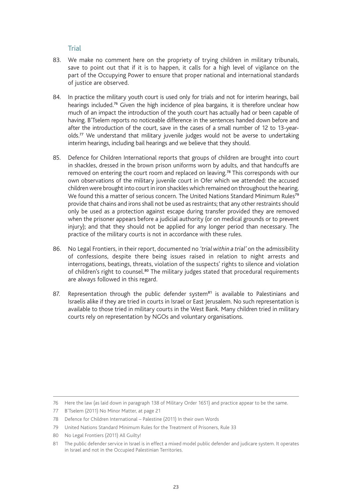#### **Trial**

- 83. We make no comment here on the propriety of trying children in military tribunals, save to point out that if it is to happen, it calls for a high level of vigilance on the part of the Occupying Power to ensure that proper national and international standards of justice are observed.
- 84. In practice the military youth court is used only for trials and not for interim hearings, bail hearings included.<sup>76</sup> Given the high incidence of plea bargains, it is therefore unclear how much of an impact the introduction of the youth court has actually had or been capable of having. B'Tselem reports no noticeable difference in the sentences handed down before and after the introduction of the court, save in the cases of a small number of 12 to 13-yearolds.<sup>77</sup> We understand that military juvenile judges would not be averse to undertaking interim hearings, including bail hearings and we believe that they should.
- 85. Defence for Children International reports that groups of children are brought into court in shackles, dressed in the brown prison uniforms worn by adults, and that handcuffs are removed on entering the court room and replaced on leaving.<sup>78</sup> This corresponds with our own observations of the military juvenile court in Ofer which we attended: the accused children were brought into court in iron shackles which remained on throughout the hearing. We found this a matter of serious concern. The United Nations Standard Minimum Rules<sup>79</sup> provide that chains and irons shall not be used as restraints; that any other restraints should only be used as a protection against escape during transfer provided they are removed when the prisoner appears before a judicial authority (or on medical grounds or to prevent injury); and that they should not be applied for any longer period than necessary. The practice of the military courts is not in accordance with these rules.
- 86. No Legal Frontiers, in their report, documented no *'trial within a trial'* on the admissibility of confessions, despite there being issues raised in relation to night arrests and interrogations, beatings, threats, violation of the suspects' rights to silence and violation of children's right to counsel.<sup>80</sup> The military judges stated that procedural requirements are always followed in this regard.
- 87. Representation through the public defender system<sup>81</sup> is available to Palestinians and Israelis alike if they are tried in courts in Israel or East Jerusalem. No such representation is available to those tried in military courts in the West Bank. Many children tried in military courts rely on representation by NGOs and voluntary organisations.

<sup>76</sup> Here the law (as laid down in paragraph 138 of Military Order 1651) and practice appear to be the same.

<sup>77</sup> B'Tselem (2011) No Minor Matter, at page 21

<sup>78</sup> Defence for Children International – Palestine (2011) In their own Words

<sup>79</sup> United Nations Standard Minimum Rules for the Treatment of Prisoners, Rule 33

<sup>80</sup> No Legal Frontiers (2011) All Guilty!

<sup>81</sup> The public defender service in Israel is in effect a mixed model public defender and judicare system. It operates in Israel and not in the Occupied Palestinian Territories.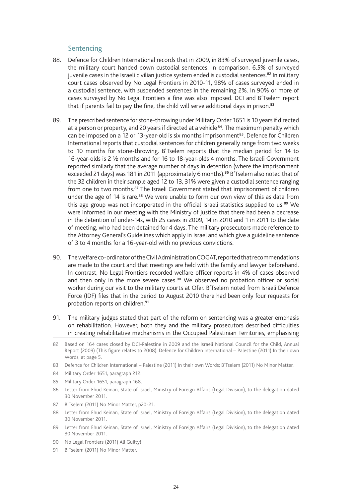#### Sentencing

- 88. Defence for Children International records that in 2009, in 83% of surveyed juvenile cases, the military court handed down custodial sentences. In comparison, 6.5% of surveyed juvenile cases in the Israeli civilian justice system ended is custodial sentences.<sup>82</sup> In military court cases observed by No Legal Frontiers in 2010-11, 98% of cases surveyed ended in a custodial sentence, with suspended sentences in the remaining 2%. In 90% or more of cases surveyed by No Legal Frontiers a fine was also imposed. DCI and B'Tselem report that if parents fail to pay the fine, the child will serve additional days in prison.<sup>83</sup>
- 89. The prescribed sentence for stone-throwing under Military Order 1651 is 10 years if directed at a person or property, and 20 years if directed at a vehicle<sup>84</sup>. The maximum penalty which can be imposed on a 12 or 13-year-old is six months imprisonment<sup>85</sup>. Defence for Children International reports that custodial sentences for children generally range from two weeks to 10 months for stone-throwing. B'Tselem reports that the median period for 14 to 16-year-olds is 2 ½ months and for 16 to 18-year-olds 4 months. The Israeli Government reported similarly that the average number of days in detention (where the imprisonment exceeded 21 days) was 181 in 2011 (approximately 6 months).<sup>86</sup> B'Tselem also noted that of the 32 children in their sample aged 12 to 13, 31% were given a custodial sentence ranging from one to two months.<sup>87</sup> The Israeli Government stated that imprisonment of children under the age of 14 is rare.<sup>88</sup> We were unable to form our own view of this as data from this age group was not incorporated in the official Israeli statistics supplied to us.<sup>89</sup> We were informed in our meeting with the Ministry of Justice that there had been a decrease in the detention of under-14s, with 25 cases in 2009, 14 in 2010 and 1 in 2011 to the date of meeting, who had been detained for 4 days. The military prosecutors made reference to the Attorney General's Guidelines which apply in Israel and which give a guideline sentence of 3 to 4 months for a 16-year-old with no previous convictions.
- 90. The welfare co-ordinator of the Civil Administration COGAT, reported that recommendations are made to the court and that meetings are held with the family and lawyer beforehand. In contrast, No Legal Frontiers recorded welfare officer reports in 4% of cases observed and then only in the more severe cases.<sup>90</sup> We observed no probation officer or social worker during our visit to the military courts at Ofer. B'Tselem noted from Israeli Defence Force (IDF) files that in the period to August 2010 there had been only four requests for probation reports on children.<sup>91</sup>
- 91. The military judges stated that part of the reform on sentencing was a greater emphasis on rehabilitation. However, both they and the military prosecutors described difficulties in creating rehabilitative mechanisms in the Occupied Palestinian Territories, emphasising
- 82 Based on 164 cases closed by DCI-Palestine in 2009 and the Israeli National Council for the Child, Annual Report (2009) (This figure relates to 2008). Defence for Children International – Palestine (2011) In their own Words, at page 5.
- 83 Defence for Children International Palestine (2011) In their own Words; B'Tselem (2011) No Minor Matter.
- 84 Military Order 1651, paragraph 212.
- 85 Military Order 1651, paragraph 168.
- 86 Letter from Ehud Keinan, State of Israel, Ministry of Foreign Affairs (Legal Division), to the delegation dated 30 November 2011.
- 87 B'Tselem (2011) No Minor Matter, p20-21.
- 88 Letter from Ehud Keinan, State of Israel, Ministry of Foreign Affairs (Legal Division), to the delegation dated 30 November 2011.
- 89 Letter from Ehud Keinan, State of Israel, Ministry of Foreign Affairs (Legal Division), to the delegation dated 30 November 2011.
- 90 No Legal Frontiers (2011) All Guilty!
- 91 B'Tselem (2011) No Minor Matter.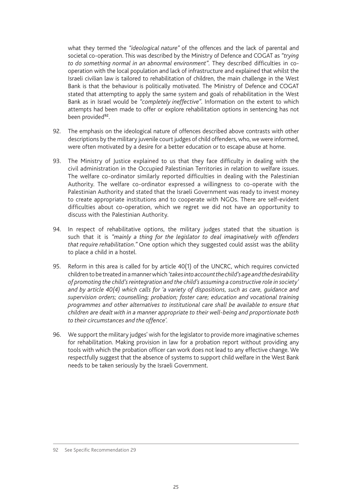what they termed the *"ideological nature"* of the offences and the lack of parental and societal co-operation. This was described by the Ministry of Defence and COGAT as *"trying to do something normal in an abnormal environment"*. They described difficulties in cooperation with the local population and lack of infrastructure and explained that whilst the Israeli civilian law is tailored to rehabilitation of children, the main challenge in the West Bank is that the behaviour is politically motivated. The Ministry of Defence and COGAT stated that attempting to apply the same system and goals of rehabilitation in the West Bank as in Israel would be *"completely ineffective"*. Information on the extent to which attempts had been made to offer or explore rehabilitation options in sentencing has not been provided<sup>92</sup>.

- 92. The emphasis on the ideological nature of offences described above contrasts with other descriptions by the military juvenile court judges of child offenders, who, we were informed, were often motivated by a desire for a better education or to escape abuse at home.
- 93. The Ministry of Justice explained to us that they face difficulty in dealing with the civil administration in the Occupied Palestinian Territories in relation to welfare issues. The welfare co-ordinator similarly reported difficulties in dealing with the Palestinian Authority. The welfare co-ordinator expressed a willingness to co-operate with the Palestinian Authority and stated that the Israeli Government was ready to invest money to create appropriate institutions and to cooperate with NGOs. There are self-evident difficulties about co-operation, which we regret we did not have an opportunity to discuss with the Palestinian Authority.
- 94. In respect of rehabilitative options, the military judges stated that the situation is such that it is *"mainly a thing for the legislator to deal imaginatively with offenders that require rehabilitation."* One option which they suggested could assist was the ability to place a child in a hostel.
- 95. Reform in this area is called for by article 40(1) of the UNCRC, which requires convicted children to be treated in a manner which *'takes into account the child's age and the desirability of promoting the child's reintegration and the child's assuming a constructive role in society' and by article 40(4) which calls for 'a variety of dispositions, such as care, guidance and supervision orders; counselling; probation; foster care; education and vocational training programmes and other alternatives to institutional care shall be available to ensure that children are dealt with in a manner appropriate to their well-being and proportionate both to their circumstances and the offence'.*
- 96. We support the military judges' wish for the legislator to provide more imaginative schemes for rehabilitation. Making provision in law for a probation report without providing any tools with which the probation officer can work does not lead to any effective change. We respectfully suggest that the absence of systems to support child welfare in the West Bank needs to be taken seriously by the Israeli Government.

<sup>92</sup> See Specific Recommendation 29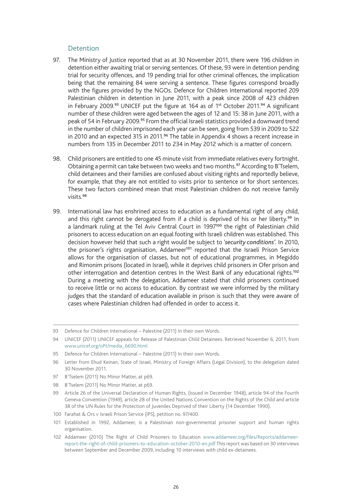#### Detention

- 97. The Ministry of Justice reported that as at 30 November 2011, there were 196 children in detention either awaiting trial or serving sentences. Of these, 93 were in detention pending trial for security offences, and 19 pending trial for other criminal offences, the implication being that the remaining 84 were serving a sentence. These figures correspond broadly with the figures provided by the NGOs. Defence for Children International reported 209 Palestinian children in detention in June 2011, with a peak since 2008 of 423 children in February 2009.<sup>93</sup> UNICEF put the figure at 164 as of  $1<sup>st</sup>$  October 2011.<sup>94</sup> A significant number of these children were aged between the ages of 12 and 15: 38 in June 2011, with a peak of 54 in February 2009.<sup>95</sup> From the official Israeli statistics provided a downward trend in the number of children imprisoned each year can be seen, going from 539 in 2009 to 522 in 2010 and an expected 315 in 2011.<sup>96</sup> The table in Appendix 4 shows a recent increase in numbers from 135 in December 2011 to 234 in May 2012 which is a matter of concern.
- 98. Child prisoners are entitled to one 45 minute visit from immediate relatives every fortnight. Obtaining a permit can take between two weeks and two months.<sup>97</sup> According to B'Tselem, child detainees and their families are confused about visiting rights and reportedly believe, for example, that they are not entitled to visits prior to sentence or for short sentences. These two factors combined mean that most Palestinian children do not receive family visits.<sup>98</sup>
- 99. International law has enshrined access to education as a fundamental right of any child, and this right cannot be derogated from if a child is deprived of his or her liberty.<sup>99</sup> In a landmark ruling at the Tel Aviv Central Court in 1997<sup>100</sup> the right of Palestinian child prisoners to access education on an equal footing with Israeli children was established. This decision however held that such a right would be subject to '*security conditions'*. In 2010, the prisoner's rights organisation, Addameer<sup>101</sup> reported that the Israeli Prison Service allows for the organisation of classes, but not of educational programmes, in Megiddo and Rimonim prisons (located in Israel), while it deprives child prisoners in Ofer prison and other interrogation and detention centres In the West Bank of any educational rights.<sup>102</sup> During a meeting with the delegation, Addameer stated that child prisoners continued to receive little or no access to education. By contrast we were informed by the military judges that the standard of education available in prison is such that they were aware of cases where Palestinian children had offended in order to access it.

100 Farahat & Ors v Israeli Prison Service (IPS), petition no. 97/400.

<sup>93</sup> Defence for Children International – Palestine (2011) In their own Words.

<sup>94</sup> UNICEF (2011) UNICEF appeals for Release of Palestinian Child Detainees. Retrieved November 6, 2011, from [www.unicef.org/oPt/media\\_6690.html](http://www.unicef.org/oPt/media_6690.html)

<sup>95</sup> Defence for Children International – Palestine (2011) In their own Words.

<sup>96</sup> Letter from Ehud Keinan, State of Israel, Ministry of Foreign Affairs (Legal Division), to the delegation dated 30 November 2011.

<sup>97</sup> B'Tselem (2011) No Minor Matter, at p69.

<sup>98</sup> B'Tselem (2011) No Minor Matter, at p69.

<sup>99</sup> Article 26 of the Universal Declaration of Human Rights, (issued in December 1948), article 94 of the Fourth Geneva Convention (1949), article 28 of the United Nations Convention on the Rights of the Child and article 38 of the UN Rules for the Protection of Juveniles Deprived of their Liberty (14 December 1990).

<sup>101</sup> Established in 1992, Addameer, is a Palestinian non-governmental prisoner support and human rights organisation.

<sup>102</sup> Addameer (2010) The Right of Child Prisoners to Education [www.addameer.org/files/Reports/addameer](http://www.addameer.org/files/Reports/addameer-report-the-right-of-child-prisoners-to-education-october-2010-en.pdf)[report-the-right-of-child-prisoners-to-education-october-2010-en.pdf](http://www.addameer.org/files/Reports/addameer-report-the-right-of-child-prisoners-to-education-october-2010-en.pdf) This report was based on 30 interviews between September and December 2009, including 10 interviews with child ex-detainees.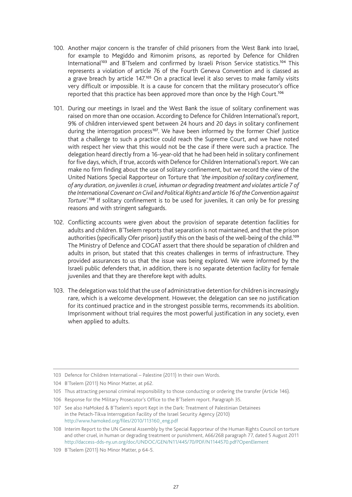- 100. Another major concern is the transfer of child prisoners from the West Bank into Israel, for example to Megiddo and Rimonim prisons, as reported by Defence for Children International<sup>103</sup> and B'Tselem and confirmed by Israeli Prison Service statistics.<sup>104</sup> This represents a violation of article 76 of the Fourth Geneva Convention and is classed as a grave breach by article 147.<sup>105</sup> On a practical level it also serves to make family visits very difficult or impossible. It is a cause for concern that the military prosecutor's office reported that this practice has been approved more than once by the High Court.<sup>106</sup>
- 101. During our meetings in Israel and the West Bank the issue of solitary confinement was raised on more than one occasion. According to Defence for Children International's report, 9% of children interviewed spent between 24 hours and 20 days in solitary confinement during the interrogation process<sup>107</sup>. We have been informed by the former Chief Justice that a challenge to such a practice could reach the Supreme Court, and we have noted with respect her view that this would not be the case if there were such a practice. The delegation heard directly from a 16-year-old that he had been held in solitary confinement for five days, which, if true, accords with Defence for Children International's report. We can make no firm finding about the use of solitary confinement, but we record the view of the United Nations Special Rapporteur on Torture that *'the imposition of solitary confinement, of any duration, on juveniles is cruel, inhuman or degrading treatment and violates article 7 of the International Covenant on Civil and Political Rights and article 16 of the Convention against Torture'.*<sup>108</sup> If solitary confinement is to be used for juveniles, it can only be for pressing reasons and with stringent safeguards.
- 102. Conflicting accounts were given about the provision of separate detention facilities for adults and children. B'Tselem reports that separation is not maintained, and that the prison authorities (specifically Ofer prison) justify this on the basis of the well-being of the child.<sup>109</sup> The Ministry of Defence and COGAT assert that there should be separation of children and adults in prison, but stated that this creates challenges in terms of infrastructure. They provided assurances to us that the issue was being explored. We were informed by the Israeli public defenders that, in addition, there is no separate detention facility for female juveniles and that they are therefore kept with adults.
- 103. The delegation was told that the use of administrative detention for children is increasingly rare, which is a welcome development. However, the delegation can see no justification for its continued practice and in the strongest possible terms, recommends its abolition. Imprisonment without trial requires the most powerful justification in any society, even when applied to adults.

106 Response for the Military Prosecutor's Office to the B'Tselem report. Paragraph 35.

<sup>103</sup> Defence for Children International – Palestine (2011) In their own Words.

<sup>104</sup> B'Tselem (2011) No Minor Matter, at p62.

<sup>105</sup> Thus attracting personal criminal responsibility to those conducting or ordering the transfer (Article 146).

<sup>107</sup> See also HaMoked & B'Tselem's report Kept in the Dark: Treatment of Palestinian Detainees in the Petach-Tikva Interrogation Facility of the Israel Security Agency (2010) [http://www.hamoked.org/files/2010/113160\\_eng.pdf](http://www.hamoked.org/files/2010/113160_eng.pdf)

<sup>108</sup> Interim Report to the UN General Assembly by the Special Rapporteur of the Human Rights Council on torture and other cruel, in human or degrading treatment or punishment, A66/268 paragraph 77, dated 5 August 2011 <http://daccess-dds-ny.un.org/doc/UNDOC/GEN/N11/445/70/PDF/N1144570.pdf?OpenElement>

<sup>109</sup> B'Tselem (2011) No Minor Matter, p 64-5.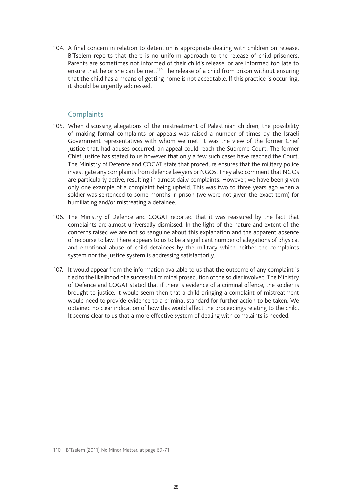104. A final concern in relation to detention is appropriate dealing with children on release. B'Tselem reports that there is no uniform approach to the release of child prisoners. Parents are sometimes not informed of their child's release, or are informed too late to ensure that he or she can be met.<sup>110</sup> The release of a child from prison without ensuring that the child has a means of getting home is not acceptable. If this practice is occurring, it should be urgently addressed.

#### **Complaints**

- 105. When discussing allegations of the mistreatment of Palestinian children, the possibility of making formal complaints or appeals was raised a number of times by the Israeli Government representatives with whom we met. It was the view of the former Chief Justice that, had abuses occurred, an appeal could reach the Supreme Court. The former Chief Justice has stated to us however that only a few such cases have reached the Court. The Ministry of Defence and COGAT state that procedure ensures that the military police investigate any complaints from defence lawyers or NGOs. They also comment that NGOs are particularly active, resulting in almost daily complaints. However, we have been given only one example of a complaint being upheld. This was two to three years ago when a soldier was sentenced to some months in prison (we were not given the exact term) for humiliating and/or mistreating a detainee.
- 106. The Ministry of Defence and COGAT reported that it was reassured by the fact that complaints are almost universally dismissed. In the light of the nature and extent of the concerns raised we are not so sanguine about this explanation and the apparent absence of recourse to law. There appears to us to be a significant number of allegations of physical and emotional abuse of child detainees by the military which neither the complaints system nor the justice system is addressing satisfactorily.
- 107. It would appear from the information available to us that the outcome of any complaint is tied to the likelihood of a successful criminal prosecution of the soldier involved. The Ministry of Defence and COGAT stated that if there is evidence of a criminal offence, the soldier is brought to justice. It would seem then that a child bringing a complaint of mistreatment would need to provide evidence to a criminal standard for further action to be taken. We obtained no clear indication of how this would affect the proceedings relating to the child. It seems clear to us that a more effective system of dealing with complaints is needed.

<sup>110</sup> B'Tselem (2011) No Minor Matter, at page 69-71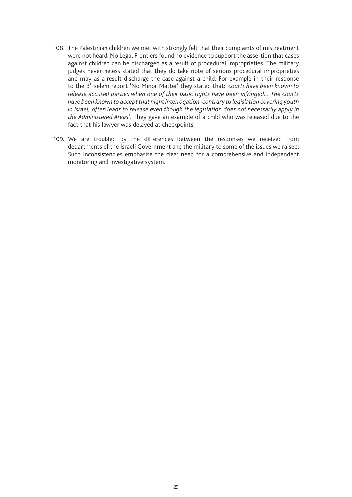- 108. The Palestinian children we met with strongly felt that their complaints of mistreatment were not heard. No Legal Frontiers found no evidence to support the assertion that cases against children can be discharged as a result of procedural improprieties. The military judges nevertheless stated that they do take note of serious procedural improprieties and may as a result discharge the case against a child. For example in their response to the B'Tselem report 'No Minor Matter' they stated that: '*courts have been known to release accused parties when one of their basic rights have been infringed… The courts have been known to accept that night interrogation, contrary to legislation covering youth in Israel, often leads to release even though the legislation does not necessarily apply in the Administered Areas'.* They gave an example of a child who was released due to the fact that his lawyer was delayed at checkpoints.
- 109. We are troubled by the differences between the responses we received from departments of the Israeli Government and the military to some of the issues we raised. Such inconsistencies emphasise the clear need for a comprehensive and independent monitoring and investigative system.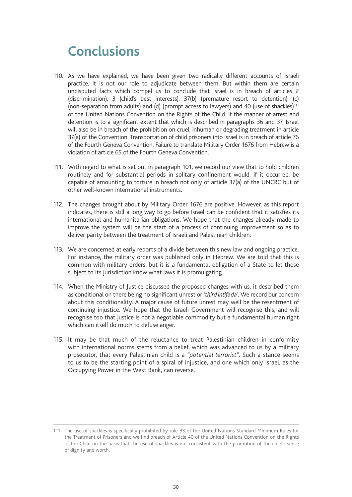### **Conclusions**

- 110. As we have explained, we have been given two radically different accounts of Israeli practice. It is not our role to adjudicate between them. But within them are certain undisputed facts which compel us to conclude that Israel is in breach of articles 2 (discrimination), 3 (child's best interests), 37(b) (premature resort to detention), (c) (non-separation from adults) and (d) (prompt access to lawyers) and 40 (use of shackles)<sup>111</sup> of the United Nations Convention on the Rights of the Child. If the manner of arrest and detention is to a significant extent that which is described in paragraphs 36 and 37, Israel will also be in breach of the prohibition on cruel, inhuman or degrading treatment in article 37(a) of the Convention. Transportation of child prisoners into Israel is in breach of article 76 of the Fourth Geneva Convention. Failure to translate Military Order 1676 from Hebrew is a violation of article 65 of the Fourth Geneva Convention.
- 111. With regard to what is set out in paragraph 101, we record our view that to hold children routinely and for substantial periods in solitary confinement would, if it occurred, be capable of amounting to torture in breach not only of article 37(a) of the UNCRC but of other well-known international instruments.
- 112. The changes brought about by Military Order 1676 are positive. However, as this report indicates, there is still a long way to go before Israel can be confident that it satisfies its international and humanitarian obligations. We hope that the changes already made to improve the system will be the start of a process of continuing improvement so as to deliver parity between the treatment of Israeli and Palestinian children.
- 113. We are concerned at early reports of a divide between this new law and ongoing practice. For instance, the military order was published only in Hebrew. We are told that this is common with military orders, but it is a fundamental obligation of a State to let those subject to its jurisdiction know what laws it is promulgating.
- 114. When the Ministry of Justice discussed the proposed changes with us, it described them as conditional on there being no significant unrest or *'third intifada'*. We record our concern about this conditionality. A major cause of future unrest may well be the resentment of continuing injustice. We hope that the Israeli Government will recognise this, and will recognise too that justice is not a negotiable commodity but a fundamental human right which can itself do much to defuse anger.
- 115. It may be that much of the reluctance to treat Palestinian children in conformity with international norms stems from a belief, which was advanced to us by a military prosecutor, that every Palestinian child is a *"potential terrorist"*. Such a stance seems to us to be the starting point of a spiral of injustice, and one which only Israel, as the Occupying Power in the West Bank, can reverse.

<sup>111</sup> The use of shackles is specifically prohibited by rule 33 of the United Nations Standard Minimum Rules for the Treatment of Prisoners and we find breach of Article 40 of the United Nations Convention on the Rights of the Child on the basis that the use of shackles is not consistent with the promotion of the child's sense of dignity and worth.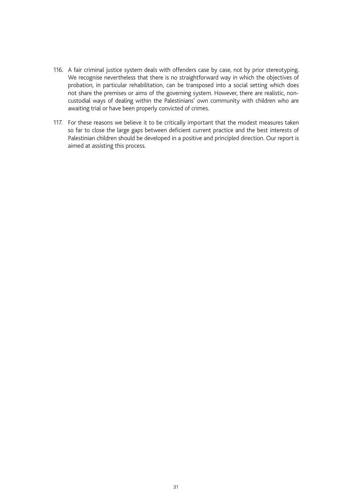- 116. A fair criminal justice system deals with offenders case by case, not by prior stereotyping. We recognise nevertheless that there is no straightforward way in which the objectives of probation, in particular rehabilitation, can be transposed into a social setting which does not share the premises or aims of the governing system. However, there are realistic, noncustodial ways of dealing within the Palestinians' own community with children who are awaiting trial or have been properly convicted of crimes.
- 117. For these reasons we believe it to be critically important that the modest measures taken so far to close the large gaps between deficient current practice and the best interests of Palestinian children should be developed in a positive and principled direction. Our report is aimed at assisting this process.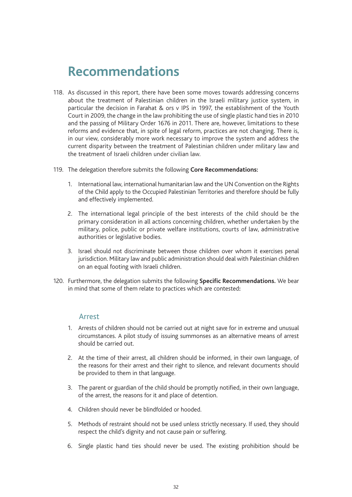### **Recommendations**

- 118. As discussed in this report, there have been some moves towards addressing concerns about the treatment of Palestinian children in the Israeli military justice system, in particular the decision in Farahat & ors v IPS in 1997, the establishment of the Youth Court in 2009, the change in the law prohibiting the use of single plastic hand ties in 2010 and the passing of Military Order 1676 in 2011. There are, however, limitations to these reforms and evidence that, in spite of legal reform, practices are not changing. There is, in our view, considerably more work necessary to improve the system and address the current disparity between the treatment of Palestinian children under military law and the treatment of Israeli children under civilian law.
- 119. The delegation therefore submits the following **Core Recommendations:**
	- 1. International law, international humanitarian law and the UN Convention on the Rights of the Child apply to the Occupied Palestinian Territories and therefore should be fully and effectively implemented.
	- 2. The international legal principle of the best interests of the child should be the primary consideration in all actions concerning children, whether undertaken by the military, police, public or private welfare institutions, courts of law, administrative authorities or legislative bodies.
	- 3. Israel should not discriminate between those children over whom it exercises penal jurisdiction. Military law and public administration should deal with Palestinian children on an equal footing with Israeli children.
- 120. Furthermore, the delegation submits the following **Specific Recommendations.** We bear in mind that some of them relate to practices which are contested**:**

#### Arrest

- 1. Arrests of children should not be carried out at night save for in extreme and unusual circumstances. A pilot study of issuing summonses as an alternative means of arrest should be carried out.
- 2. At the time of their arrest, all children should be informed, in their own language, of the reasons for their arrest and their right to silence, and relevant documents should be provided to them in that language.
- 3. The parent or guardian of the child should be promptly notified, in their own language, of the arrest, the reasons for it and place of detention.
- 4. Children should never be blindfolded or hooded.
- 5. Methods of restraint should not be used unless strictly necessary. If used, they should respect the child's dignity and not cause pain or suffering.
- 6. Single plastic hand ties should never be used. The existing prohibition should be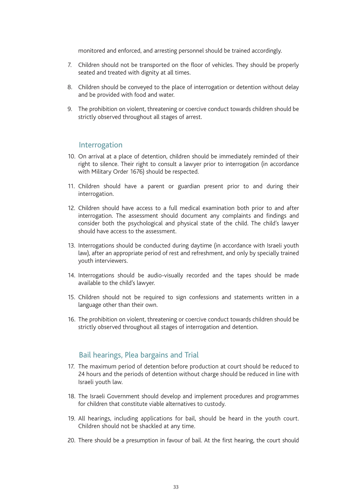monitored and enforced, and arresting personnel should be trained accordingly.

- 7. Children should not be transported on the floor of vehicles. They should be properly seated and treated with dignity at all times.
- 8. Children should be conveyed to the place of interrogation or detention without delay and be provided with food and water.
- 9. The prohibition on violent, threatening or coercive conduct towards children should be strictly observed throughout all stages of arrest.

#### Interrogation

- 10. On arrival at a place of detention, children should be immediately reminded of their right to silence. Their right to consult a lawyer prior to interrogation (in accordance with Military Order 1676) should be respected.
- 11. Children should have a parent or guardian present prior to and during their interrogation.
- 12. Children should have access to a full medical examination both prior to and after interrogation. The assessment should document any complaints and findings and consider both the psychological and physical state of the child. The child's lawyer should have access to the assessment.
- 13. Interrogations should be conducted during daytime (in accordance with Israeli youth law), after an appropriate period of rest and refreshment, and only by specially trained youth interviewers.
- 14. Interrogations should be audio-visually recorded and the tapes should be made available to the child's lawyer.
- 15. Children should not be required to sign confessions and statements written in a language other than their own.
- 16. The prohibition on violent, threatening or coercive conduct towards children should be strictly observed throughout all stages of interrogation and detention.

#### Bail hearings, Plea bargains and Trial

- 17. The maximum period of detention before production at court should be reduced to 24 hours and the periods of detention without charge should be reduced in line with Israeli youth law.
- 18. The Israeli Government should develop and implement procedures and programmes for children that constitute viable alternatives to custody.
- 19. All hearings, including applications for bail, should be heard in the youth court. Children should not be shackled at any time.
- 20. There should be a presumption in favour of bail. At the first hearing, the court should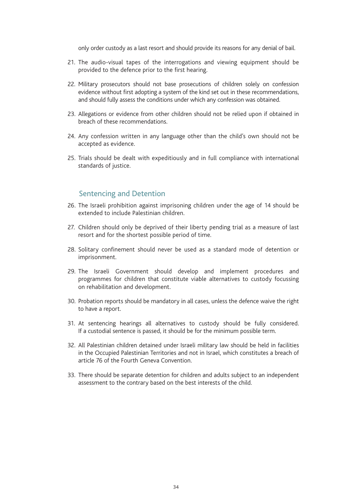only order custody as a last resort and should provide its reasons for any denial of bail.

- 21. The audio-visual tapes of the interrogations and viewing equipment should be provided to the defence prior to the first hearing.
- 22. Military prosecutors should not base prosecutions of children solely on confession evidence without first adopting a system of the kind set out in these recommendations, and should fully assess the conditions under which any confession was obtained.
- 23. Allegations or evidence from other children should not be relied upon if obtained in breach of these recommendations.
- 24. Any confession written in any language other than the child's own should not be accepted as evidence.
- 25. Trials should be dealt with expeditiously and in full compliance with international standards of justice.

#### Sentencing and Detention

- 26. The Israeli prohibition against imprisoning children under the age of 14 should be extended to include Palestinian children.
- 27. Children should only be deprived of their liberty pending trial as a measure of last resort and for the shortest possible period of time.
- 28. Solitary confinement should never be used as a standard mode of detention or imprisonment.
- 29. The Israeli Government should develop and implement procedures and programmes for children that constitute viable alternatives to custody focussing on rehabilitation and development.
- 30. Probation reports should be mandatory in all cases, unless the defence waive the right to have a report.
- 31. At sentencing hearings all alternatives to custody should be fully considered. If a custodial sentence is passed, it should be for the minimum possible term.
- 32. All Palestinian children detained under Israeli military law should be held in facilities in the Occupied Palestinian Territories and not in Israel, which constitutes a breach of article 76 of the Fourth Geneva Convention.
- 33. There should be separate detention for children and adults subject to an independent assessment to the contrary based on the best interests of the child.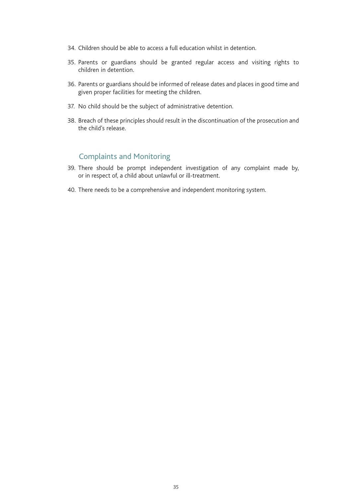- 34. Children should be able to access a full education whilst in detention.
- 35. Parents or guardians should be granted regular access and visiting rights to children in detention.
- 36. Parents or guardians should be informed of release dates and places in good time and given proper facilities for meeting the children.
- 37. No child should be the subject of administrative detention.
- 38. Breach of these principles should result in the discontinuation of the prosecution and the child's release.

#### Complaints and Monitoring

- 39. There should be prompt independent investigation of any complaint made by, or in respect of, a child about unlawful or ill-treatment.
- 40. There needs to be a comprehensive and independent monitoring system.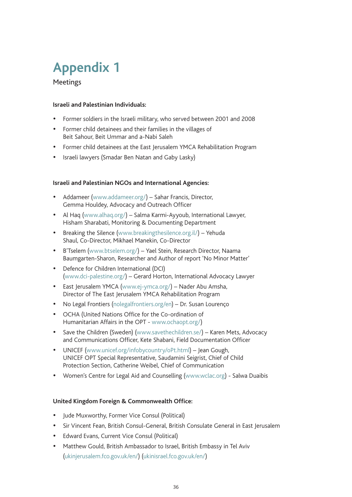# **Appendix 1**

Meetings

#### **Israeli and Palestinian Individuals:**

- Former soldiers in the Israeli military, who served between 2001 and 2008
- • Former child detainees and their families in the villages of Beit Sahour, Beit Ummar and a-Nabi Saleh
- Former child detainees at the East Jerusalem YMCA Rehabilitation Program
- Israeli lawyers (Smadar Ben Natan and Gaby Lasky)

#### **Israeli and Palestinian NGOs and International Agencies:**

- Addameer [\(www.addameer.org/\)](http://www.addameer.org/) Sahar Francis, Director, Gemma Houldey, Advocacy and Outreach Officer
- Al Haq [\(www.alhaq.org/](http://www.alhaq.org/)) Salma Karmi-Ayyoub, International Lawyer, Hisham Sharabati, Monitoring & Documenting Department
- Breaking the Silence [\(www.breakingthesilence.org.il/](http://www.breakingthesilence.org.il/)) Yehuda Shaul, Co-Director, Mikhael Manekin, Co-Director
- B'Tselem [\(www.btselem.org/](http://www.btselem.org/)) Yael Stein, Research Director, Naama Baumgarten-Sharon, Researcher and Author of report 'No Minor Matter'
- Defence for Children International (DCI) ([www.dci-palestine.org/\)](http://www.dci-palestine.org/) – Gerard Horton, International Advocacy Lawyer
- East Jerusalem YMCA ([www.ej-ymca.org/](http://www.ej-ymca.org/)) Nader Abu Amsha, Director of The East Jerusalem YMCA Rehabilitation Program
- No Legal Frontiers [\(nolegalfrontiers.org/en](http://nolegalfrontiers.org/en)) Dr. Susan Lourenço
- • OCHA (United Nations Office for the Co-ordination of Humanitarian Affairs in the OPT - [www.ochaopt.org/](http://www.ochaopt.org/))
- Save the Children (Sweden) [\(www.savethechildren.se/\)](http://www.savethechildren.se/) Karen Mets, Advocacy and Communications Officer, Kete Shabani, Field Documentation Officer
- UNICEF [\(www.unicef.org/infobycountry/oPt.html](http://www.unicef.org/infobycountry/oPt.html)) Jean Gough, UNICEF OPT Special Representative, Saudamini Seigrist, Chief of Child Protection Section, Catherine Weibel, Chief of Communication
- Women's Centre for Legal Aid and Counselling ([www.wclac.org](http://www.wclac.org)) Salwa Duaibis

#### **United Kingdom Foreign & Commonwealth Office:**

- Jude Muxworthy, Former Vice Consul (Political)
- • Sir Vincent Fean, British Consul-General, British Consulate General in East Jerusalem
- • Edward Evans, Current Vice Consul (Political)
- Matthew Gould, British Ambassador to Israel, British Embassy in Tel Aviv [\(ukinjerusalem.fco.gov.uk/en/](http://ukinjerusalem.fco.gov.uk/en/)) [\(ukinisrael.fco.gov.uk/en/](http://ukinisrael.fco.gov.uk/en/))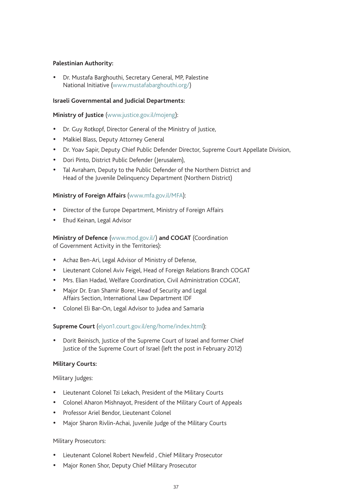#### **Palestinian Authority:**

Dr. Mustafa Barghouthi, Secretary General, MP, Palestine National Initiative [\(www.mustafabarghouthi.org/](http://www.mustafabarghouthi.org/))

#### **Israeli Governmental and Judicial Departments:**

**Ministry of Justice** ([www.justice.gov.il/mojeng](http://www.justice.gov.il/mojeng)):

- Dr. Guy Rotkopf, Director General of the Ministry of Justice,
- Malkiel Blass, Deputy Attorney General
- • Dr. Yoav Sapir, Deputy Chief Public Defender Director, Supreme Court Appellate Division,
- • Dori Pinto, District Public Defender (Jerusalem),
- Tal Avraham, Deputy to the Public Defender of the Northern District and Head of the Juvenile Delinquency Department (Northern District)

#### **Ministry of Foreign Affairs** ([www.mfa.gov.il/MFA](http://www.mfa.gov.il/MFA)):

- Director of the Europe Department, Ministry of Foreign Affairs
- Ehud Keinan, Legal Advisor

#### **Ministry of Defence** [\(www.mod.gov.il/\)](http://www.mod.gov.il/) **and COGAT** (Coordination of Government Activity in the Territories):

- Achaz Ben-Ari, Legal Advisor of Ministry of Defense,
- • Lieutenant Colonel Aviv Feigel, Head of Foreign Relations Branch COGAT
- Mrs. Elian Hadad, Welfare Coordination, Civil Administration COGAT,
- Major Dr. Eran Shamir Borer, Head of Security and Legal Affairs Section, International Law Department IDF
- • Colonel Eli Bar-On, Legal Advisor to Judea and Samaria

#### **Supreme Court** [\(elyon1.court.gov.il/eng/home/index.html](http://elyon1.court.gov.il/eng/home/index.html)):

Dorit Beinisch, Justice of the Supreme Court of Israel and former Chief Justice of the Supreme Court of Israel (left the post in February 2012)

#### **Military Courts:**

Military Iudges:

- Lieutenant Colonel Tzi Lekach, President of the Military Courts
- Colonel Aharon Mishnayot, President of the Military Court of Appeals
- Professor Ariel Bendor, Lieutenant Colonel
- Major Sharon Rivlin-Achai, Juvenile Judge of the Military Courts

#### Military Prosecutors:

- Lieutenant Colonel Robert Newfeld, Chief Military Prosecutor
- Major Ronen Shor, Deputy Chief Military Prosecutor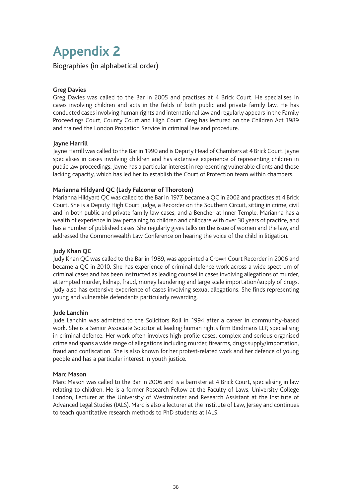### **Appendix 2**

Biographies (in alphabetical order)

#### **Greg Davies**

Greg Davies was called to the Bar in 2005 and practises at 4 Brick Court. He specialises in cases involving children and acts in the fields of both public and private family law. He has conducted cases involving human rights and international law and regularly appears in the Family Proceedings Court, County Court and High Court. Greg has lectured on the Children Act 1989 and trained the London Probation Service in criminal law and procedure.

#### **Jayne Harrill**

Jayne Harrill was called to the Bar in 1990 and is Deputy Head of Chambers at 4 Brick Court. Jayne specialises in cases involving children and has extensive experience of representing children in public law proceedings. Jayne has a particular interest in representing vulnerable clients and those lacking capacity, which has led her to establish the Court of Protection team within chambers.

#### **Marianna Hildyard QC (Lady Falconer of Thoroton)**

Marianna Hildyard QC was called to the Bar in 1977, became a QC in 2002 and practises at 4 Brick Court. She is a Deputy High Court Judge, a Recorder on the Southern Circuit, sitting in crime, civil and in both public and private family law cases, and a Bencher at Inner Temple. Marianna has a wealth of experience in law pertaining to children and childcare with over 30 years of practice, and has a number of published cases. She regularly gives talks on the issue of women and the law, and addressed the Commonwealth Law Conference on hearing the voice of the child in litigation.

#### **Judy Khan QC**

Judy Khan QC was called to the Bar in 1989, was appointed a Crown Court Recorder in 2006 and became a QC in 2010. She has experience of criminal defence work across a wide spectrum of criminal cases and has been instructed as leading counsel in cases involving allegations of murder, attempted murder, kidnap, fraud, money laundering and large scale importation/supply of drugs. Judy also has extensive experience of cases involving sexual allegations. She finds representing young and vulnerable defendants particularly rewarding.

#### **Jude Lanchin**

Jude Lanchin was admitted to the Solicitors Roll in 1994 after a career in community-based work. She is a Senior Associate Solicitor at leading human rights firm Bindmans LLP, specialising in criminal defence. Her work often involves high-profile cases, complex and serious organised crime and spans a wide range of allegations including murder, firearms, drugs supply/importation, fraud and confiscation. She is also known for her protest-related work and her defence of young people and has a particular interest in youth justice.

#### **Marc Mason**

Marc Mason was called to the Bar in 2006 and is a barrister at 4 Brick Court, specialising in law relating to children. He is a former Research Fellow at the Faculty of Laws, University College London, Lecturer at the University of Westminster and Research Assistant at the Institute of Advanced Legal Studies (IALS). Marc is also a lecturer at the Institute of Law, Jersey and continues to teach quantitative research methods to PhD students at IALS.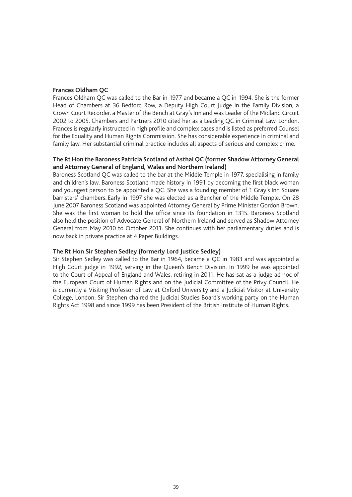#### **Frances Oldham QC**

Frances Oldham QC was called to the Bar in 1977 and became a QC in 1994. She is the former Head of Chambers at 36 Bedford Row, a Deputy High Court Judge in the Family Division, a Crown Court Recorder, a Master of the Bench at Gray's Inn and was Leader of the Midland Circuit 2002 to 2005. Chambers and Partners 2010 cited her as a Leading QC in Criminal Law, London. Frances is regularly instructed in high profile and complex cases and is listed as preferred Counsel for the Equality and Human Rights Commission. She has considerable experience in criminal and family law. Her substantial criminal practice includes all aspects of serious and complex crime.

#### **The Rt Hon the Baroness Patricia Scotland of Asthal QC (former Shadow Attorney General and Attorney General of England, Wales and Northern Ireland)**

Baroness Scotland QC was called to the bar at the Middle Temple in 1977, specialising in family and children's law. Baroness Scotland made history in 1991 by becoming the first black woman and youngest person to be appointed a QC. She was a founding member of 1 Gray's Inn Square barristers' chambers. Early in 1997 she was elected as a Bencher of the Middle Temple. On 28 June 2007 Baroness Scotland was appointed Attorney General by Prime Minister Gordon Brown. She was the first woman to hold the office since its foundation in 1315. Baroness Scotland also held the position of Advocate General of Northern Ireland and served as Shadow Attorney General from May 2010 to October 2011. She continues with her parliamentary duties and is now back in private practice at 4 Paper Buildings.

#### **The Rt Hon Sir Stephen Sedley (formerly Lord Justice Sedley)**

Sir Stephen Sedley was called to the Bar in 1964, became a QC in 1983 and was appointed a High Court judge in 1992, serving in the Queen's Bench Division. In 1999 he was appointed to the Court of Appeal of England and Wales, retiring in 2011. He has sat as a judge ad hoc of the European Court of Human Rights and on the Judicial Committee of the Privy Council. He is currently a Visiting Professor of Law at Oxford University and a Judicial Visitor at University College, London. Sir Stephen chaired the Judicial Studies Board's working party on the Human Rights Act 1998 and since 1999 has been President of the British Institute of Human Rights.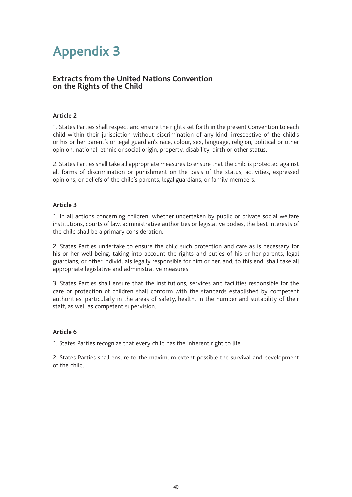### **Appendix 3**

#### **Extracts from the United Nations Convention on the Rights of the Child**

#### **Article 2**

1. States Parties shall respect and ensure the rights set forth in the present Convention to each child within their jurisdiction without discrimination of any kind, irrespective of the child's or his or her parent's or legal guardian's race, colour, sex, language, religion, political or other opinion, national, ethnic or social origin, property, disability, birth or other status.

2. States Parties shall take all appropriate measures to ensure that the child is protected against all forms of discrimination or punishment on the basis of the status, activities, expressed opinions, or beliefs of the child's parents, legal guardians, or family members.

#### **Article 3**

1. In all actions concerning children, whether undertaken by public or private social welfare institutions, courts of law, administrative authorities or legislative bodies, the best interests of the child shall be a primary consideration.

2. States Parties undertake to ensure the child such protection and care as is necessary for his or her well-being, taking into account the rights and duties of his or her parents, legal guardians, or other individuals legally responsible for him or her, and, to this end, shall take all appropriate legislative and administrative measures.

3. States Parties shall ensure that the institutions, services and facilities responsible for the care or protection of children shall conform with the standards established by competent authorities, particularly in the areas of safety, health, in the number and suitability of their staff, as well as competent supervision.

#### **Article 6**

1. States Parties recognize that every child has the inherent right to life.

2. States Parties shall ensure to the maximum extent possible the survival and development of the child.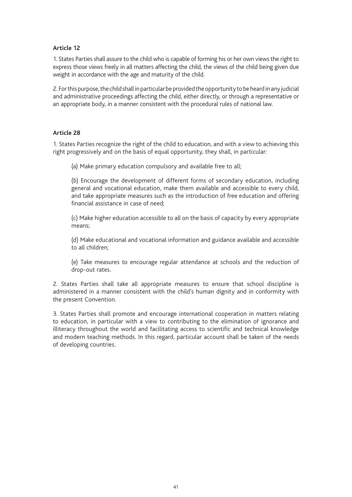#### **Article 12**

1. States Parties shall assure to the child who is capable of forming his or her own views the right to express those views freely in all matters affecting the child, the views of the child being given due weight in accordance with the age and maturity of the child.

2. For this purpose, the child shall in particular be provided the opportunity to be heard in any judicial and administrative proceedings affecting the child, either directly, or through a representative or an appropriate body, in a manner consistent with the procedural rules of national law.

#### **Article 28**

1. States Parties recognize the right of the child to education, and with a view to achieving this right progressively and on the basis of equal opportunity, they shall, in particular:

(a) Make primary education compulsory and available free to all;

(b) Encourage the development of different forms of secondary education, including general and vocational education, make them available and accessible to every child, and take appropriate measures such as the introduction of free education and offering financial assistance in case of need;

(c) Make higher education accessible to all on the basis of capacity by every appropriate means;

(d) Make educational and vocational information and guidance available and accessible to all children;

(e) Take measures to encourage regular attendance at schools and the reduction of drop-out rates.

2. States Parties shall take all appropriate measures to ensure that school discipline is administered in a manner consistent with the child's human dignity and in conformity with the present Convention.

3. States Parties shall promote and encourage international cooperation in matters relating to education, in particular with a view to contributing to the elimination of ignorance and illiteracy throughout the world and facilitating access to scientific and technical knowledge and modern teaching methods. In this regard, particular account shall be taken of the needs of developing countries.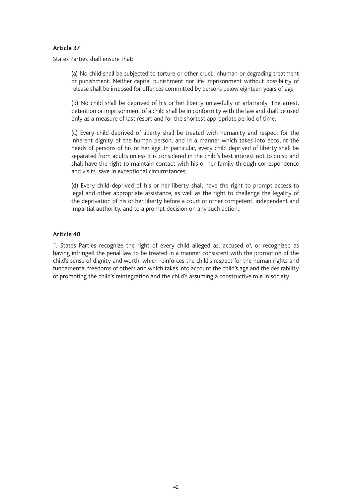#### **Article 37**

States Parties shall ensure that:

(a) No child shall be subjected to torture or other cruel, inhuman or degrading treatment or punishment. Neither capital punishment nor life imprisonment without possibility of release shall be imposed for offences committed by persons below eighteen years of age;

(b) No child shall be deprived of his or her liberty unlawfully or arbitrarily. The arrest, detention or imprisonment of a child shall be in conformity with the law and shall be used only as a measure of last resort and for the shortest appropriate period of time;

(c) Every child deprived of liberty shall be treated with humanity and respect for the inherent dignity of the human person, and in a manner which takes into account the needs of persons of his or her age. In particular, every child deprived of liberty shall be separated from adults unless it is considered in the child's best interest not to do so and shall have the right to maintain contact with his or her family through correspondence and visits, save in exceptional circumstances;

(d) Every child deprived of his or her liberty shall have the right to prompt access to legal and other appropriate assistance, as well as the right to challenge the legality of the deprivation of his or her liberty before a court or other competent, independent and impartial authority, and to a prompt decision on any such action.

#### **Article 40**

1. States Parties recognize the right of every child alleged as, accused of, or recognized as having infringed the penal law to be treated in a manner consistent with the promotion of the child's sense of dignity and worth, which reinforces the child's respect for the human rights and fundamental freedoms of others and which takes into account the child's age and the desirability of promoting the child's reintegration and the child's assuming a constructive role in society.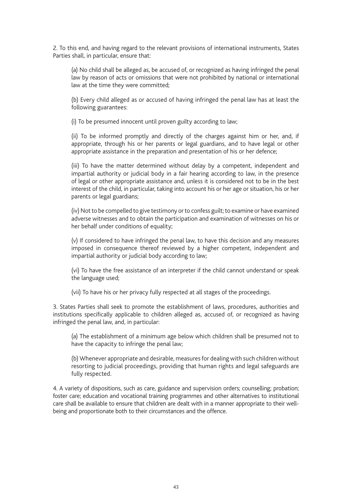2. To this end, and having regard to the relevant provisions of international instruments, States Parties shall, in particular, ensure that:

(a) No child shall be alleged as, be accused of, or recognized as having infringed the penal law by reason of acts or omissions that were not prohibited by national or international law at the time they were committed;

(b) Every child alleged as or accused of having infringed the penal law has at least the following guarantees:

(i) To be presumed innocent until proven guilty according to law;

(ii) To be informed promptly and directly of the charges against him or her, and, if appropriate, through his or her parents or legal guardians, and to have legal or other appropriate assistance in the preparation and presentation of his or her defence;

(iii) To have the matter determined without delay by a competent, independent and impartial authority or judicial body in a fair hearing according to law, in the presence of legal or other appropriate assistance and, unless it is considered not to be in the best interest of the child, in particular, taking into account his or her age or situation, his or her parents or legal guardians;

(iv) Not to be compelled to give testimony or to confess guilt; to examine or have examined adverse witnesses and to obtain the participation and examination of witnesses on his or her behalf under conditions of equality;

(v) If considered to have infringed the penal law, to have this decision and any measures imposed in consequence thereof reviewed by a higher competent, independent and impartial authority or judicial body according to law;

(vi) To have the free assistance of an interpreter if the child cannot understand or speak the language used;

(vii) To have his or her privacy fully respected at all stages of the proceedings.

3. States Parties shall seek to promote the establishment of laws, procedures, authorities and institutions specifically applicable to children alleged as, accused of, or recognized as having infringed the penal law, and, in particular:

(a) The establishment of a minimum age below which children shall be presumed not to have the capacity to infringe the penal law;

(b) Whenever appropriate and desirable, measures for dealing with such children without resorting to judicial proceedings, providing that human rights and legal safeguards are fully respected.

4. A variety of dispositions, such as care, guidance and supervision orders; counselling; probation; foster care; education and vocational training programmes and other alternatives to institutional care shall be available to ensure that children are dealt with in a manner appropriate to their wellbeing and proportionate both to their circumstances and the offence.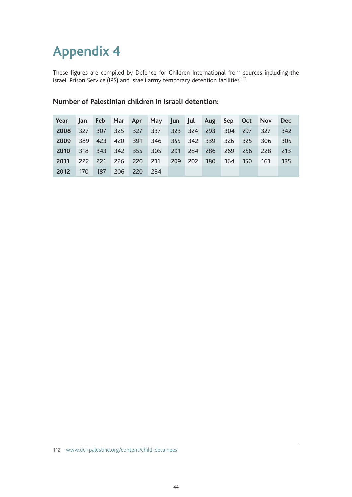# **Appendix 4**

These figures are compiled by Defence for Children International from sources including the Israeli Prison Service (IPS) and Israeli army temporary detention facilities.<sup>112</sup>

| Year |     |     |     |                 | Jan Feb Mar Apr May Jun Jul Aug Sep Oct Nov |            |             |     |            |             |     | <b>Dec</b> |
|------|-----|-----|-----|-----------------|---------------------------------------------|------------|-------------|-----|------------|-------------|-----|------------|
| 2008 | 327 |     |     | 307 325 327     | 337                                         |            | 323 324 293 |     | 304        | 297         | 327 | 342        |
| 2009 | 389 | 423 |     | 420 391         | 346                                         |            | 355 342 339 |     |            | 326 325 306 |     | 305        |
| 2010 | 318 |     |     |                 | 343 342 355 305                             |            | 291 284 286 |     | <b>269</b> | 256 228     |     | 213        |
| 2011 | 222 |     |     | 221 226 220 211 |                                             | <b>209</b> | 202         | 180 | 164        | 150         | 161 | 135        |
| 2012 | 170 | 187 | 206 | 220 234         |                                             |            |             |     |            |             |     |            |

#### **Number of Palestinian children in Israeli detention:**